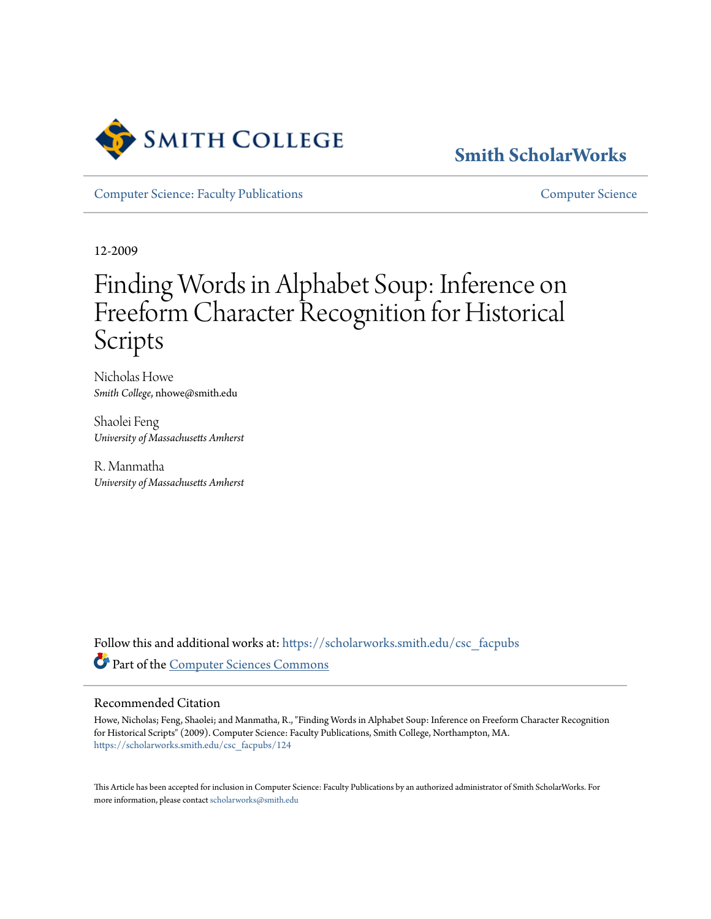

# **[Smith ScholarWorks](https://scholarworks.smith.edu/?utm_source=scholarworks.smith.edu%2Fcsc_facpubs%2F124&utm_medium=PDF&utm_campaign=PDFCoverPages)**

[Computer Science: Faculty Publications](https://scholarworks.smith.edu/csc_facpubs?utm_source=scholarworks.smith.edu%2Fcsc_facpubs%2F124&utm_medium=PDF&utm_campaign=PDFCoverPages) [Computer Science](https://scholarworks.smith.edu/csc?utm_source=scholarworks.smith.edu%2Fcsc_facpubs%2F124&utm_medium=PDF&utm_campaign=PDFCoverPages)

12-2009

# Finding Words in Alphabet Soup: Inference on Freeform Character Recognition for Historical Scripts

Nicholas Howe *Smith College*, nhowe@smith.edu

Shaolei Feng *University of Massachusetts Amherst*

R. Manmatha *University of Massachusetts Amherst*

Follow this and additional works at: [https://scholarworks.smith.edu/csc\\_facpubs](https://scholarworks.smith.edu/csc_facpubs?utm_source=scholarworks.smith.edu%2Fcsc_facpubs%2F124&utm_medium=PDF&utm_campaign=PDFCoverPages) Part of the [Computer Sciences Commons](http://network.bepress.com/hgg/discipline/142?utm_source=scholarworks.smith.edu%2Fcsc_facpubs%2F124&utm_medium=PDF&utm_campaign=PDFCoverPages)

# Recommended Citation

Howe, Nicholas; Feng, Shaolei; and Manmatha, R., "Finding Words in Alphabet Soup: Inference on Freeform Character Recognition for Historical Scripts" (2009). Computer Science: Faculty Publications, Smith College, Northampton, MA. [https://scholarworks.smith.edu/csc\\_facpubs/124](https://scholarworks.smith.edu/csc_facpubs/124?utm_source=scholarworks.smith.edu%2Fcsc_facpubs%2F124&utm_medium=PDF&utm_campaign=PDFCoverPages)

This Article has been accepted for inclusion in Computer Science: Faculty Publications by an authorized administrator of Smith ScholarWorks. For more information, please contact [scholarworks@smith.edu](mailto:scholarworks@smith.edu)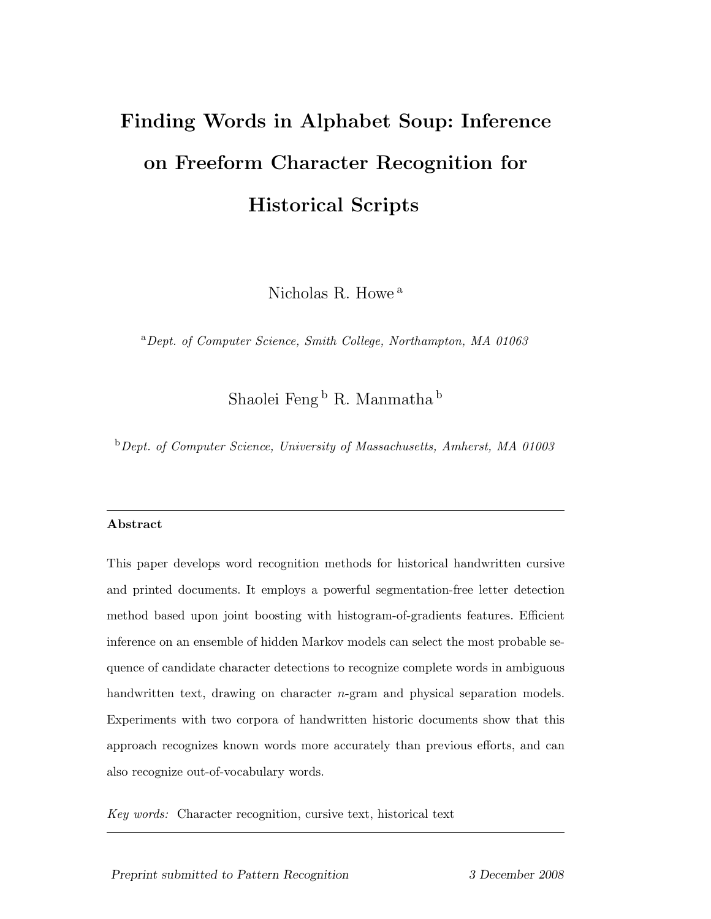# Finding Words in Alphabet Soup: Inference on Freeform Character Recognition for Historical Scripts

Nicholas R. Howe <sup>a</sup>

<sup>a</sup>Dept. of Computer Science, Smith College, Northampton, MA 01063

Shaolei Feng<sup>b</sup> R. Manmatha b

 $b$  Dept. of Computer Science, University of Massachusetts, Amherst, MA 01003

# Abstract

This paper develops word recognition methods for historical handwritten cursive and printed documents. It employs a powerful segmentation-free letter detection method based upon joint boosting with histogram-of-gradients features. Efficient inference on an ensemble of hidden Markov models can select the most probable sequence of candidate character detections to recognize complete words in ambiguous handwritten text, drawing on character *n*-gram and physical separation models. Experiments with two corpora of handwritten historic documents show that this approach recognizes known words more accurately than previous efforts, and can also recognize out-of-vocabulary words.

Key words: Character recognition, cursive text, historical text

Preprint submitted to Pattern Recognition 3 December 2008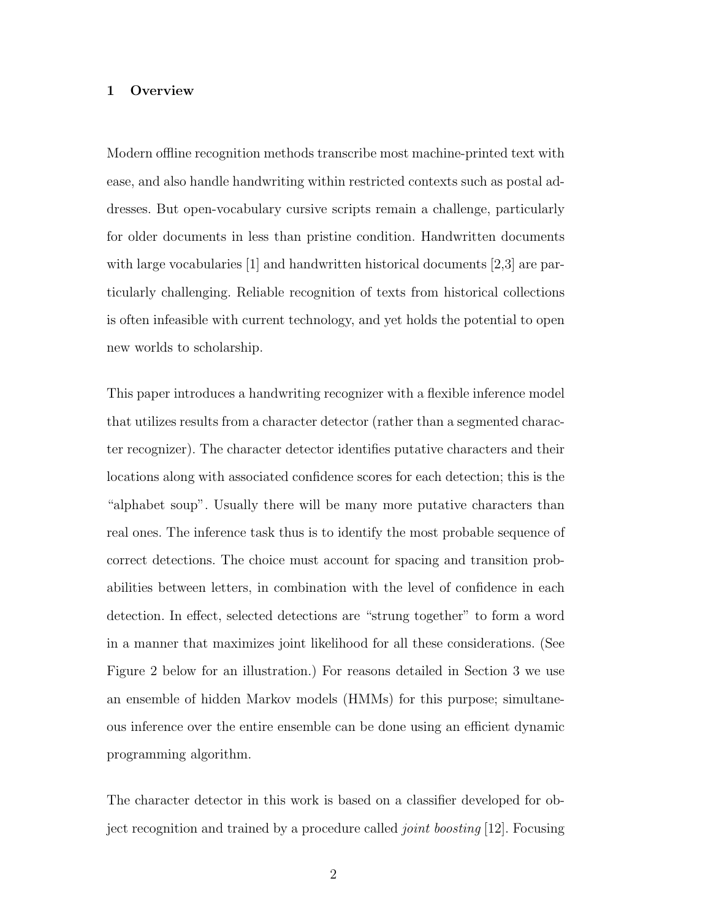# 1 Overview

Modern offline recognition methods transcribe most machine-printed text with ease, and also handle handwriting within restricted contexts such as postal addresses. But open-vocabulary cursive scripts remain a challenge, particularly for older documents in less than pristine condition. Handwritten documents with large vocabularies  $[1]$  and handwritten historical documents  $[2,3]$  are particularly challenging. Reliable recognition of texts from historical collections is often infeasible with current technology, and yet holds the potential to open new worlds to scholarship.

This paper introduces a handwriting recognizer with a flexible inference model that utilizes results from a character detector (rather than a segmented character recognizer). The character detector identifies putative characters and their locations along with associated confidence scores for each detection; this is the "alphabet soup". Usually there will be many more putative characters than real ones. The inference task thus is to identify the most probable sequence of correct detections. The choice must account for spacing and transition probabilities between letters, in combination with the level of confidence in each detection. In effect, selected detections are "strung together" to form a word in a manner that maximizes joint likelihood for all these considerations. (See Figure 2 below for an illustration.) For reasons detailed in Section 3 we use an ensemble of hidden Markov models (HMMs) for this purpose; simultaneous inference over the entire ensemble can be done using an efficient dynamic programming algorithm.

The character detector in this work is based on a classifier developed for object recognition and trained by a procedure called joint boosting [12]. Focusing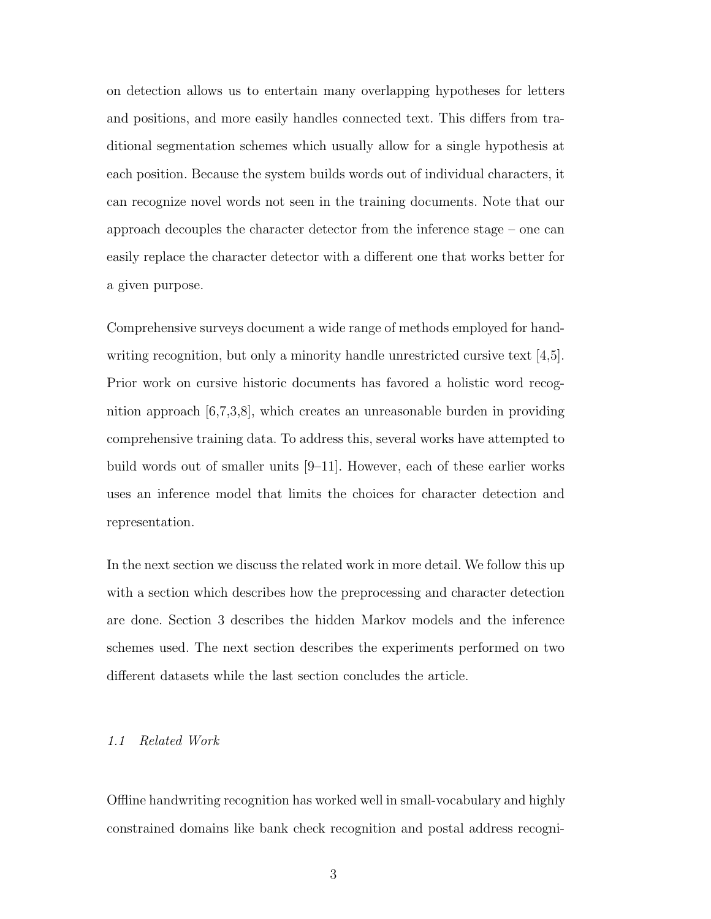on detection allows us to entertain many overlapping hypotheses for letters and positions, and more easily handles connected text. This differs from traditional segmentation schemes which usually allow for a single hypothesis at each position. Because the system builds words out of individual characters, it can recognize novel words not seen in the training documents. Note that our approach decouples the character detector from the inference stage – one can easily replace the character detector with a different one that works better for a given purpose.

Comprehensive surveys document a wide range of methods employed for handwriting recognition, but only a minority handle unrestricted cursive text [4,5]. Prior work on cursive historic documents has favored a holistic word recognition approach [6,7,3,8], which creates an unreasonable burden in providing comprehensive training data. To address this, several works have attempted to build words out of smaller units [9–11]. However, each of these earlier works uses an inference model that limits the choices for character detection and representation.

In the next section we discuss the related work in more detail. We follow this up with a section which describes how the preprocessing and character detection are done. Section 3 describes the hidden Markov models and the inference schemes used. The next section describes the experiments performed on two different datasets while the last section concludes the article.

## 1.1 Related Work

Offline handwriting recognition has worked well in small-vocabulary and highly constrained domains like bank check recognition and postal address recogni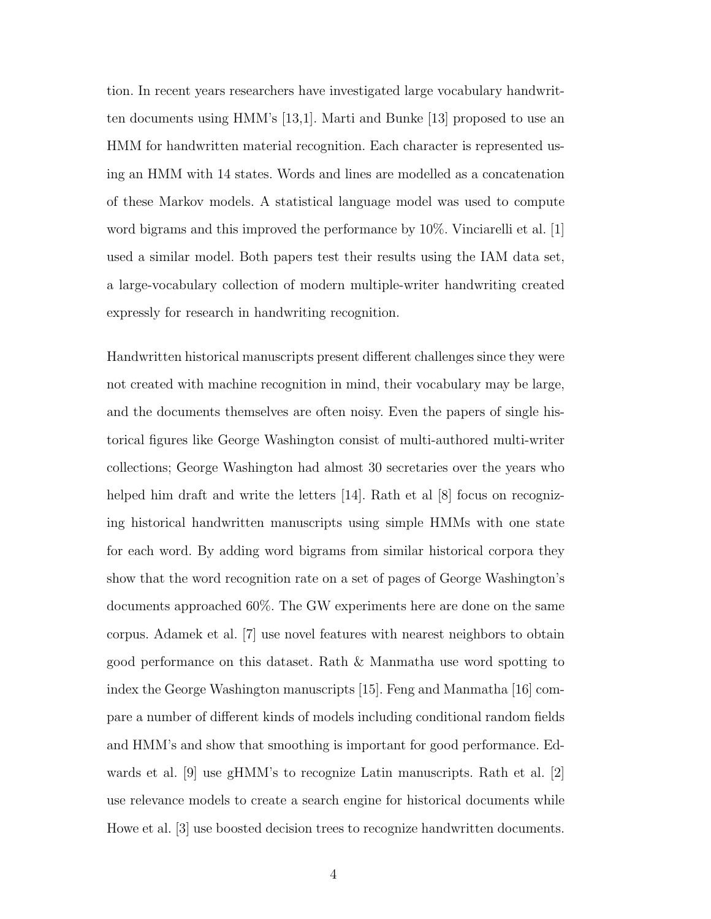tion. In recent years researchers have investigated large vocabulary handwritten documents using HMM's [13,1]. Marti and Bunke [13] proposed to use an HMM for handwritten material recognition. Each character is represented using an HMM with 14 states. Words and lines are modelled as a concatenation of these Markov models. A statistical language model was used to compute word bigrams and this improved the performance by 10%. Vinciarelli et al. [1] used a similar model. Both papers test their results using the IAM data set, a large-vocabulary collection of modern multiple-writer handwriting created expressly for research in handwriting recognition.

Handwritten historical manuscripts present different challenges since they were not created with machine recognition in mind, their vocabulary may be large, and the documents themselves are often noisy. Even the papers of single historical figures like George Washington consist of multi-authored multi-writer collections; George Washington had almost 30 secretaries over the years who helped him draft and write the letters [14]. Rath et al [8] focus on recognizing historical handwritten manuscripts using simple HMMs with one state for each word. By adding word bigrams from similar historical corpora they show that the word recognition rate on a set of pages of George Washington's documents approached 60%. The GW experiments here are done on the same corpus. Adamek et al. [7] use novel features with nearest neighbors to obtain good performance on this dataset. Rath & Manmatha use word spotting to index the George Washington manuscripts [15]. Feng and Manmatha [16] compare a number of different kinds of models including conditional random fields and HMM's and show that smoothing is important for good performance. Edwards et al. [9] use gHMM's to recognize Latin manuscripts. Rath et al. [2] use relevance models to create a search engine for historical documents while Howe et al. [3] use boosted decision trees to recognize handwritten documents.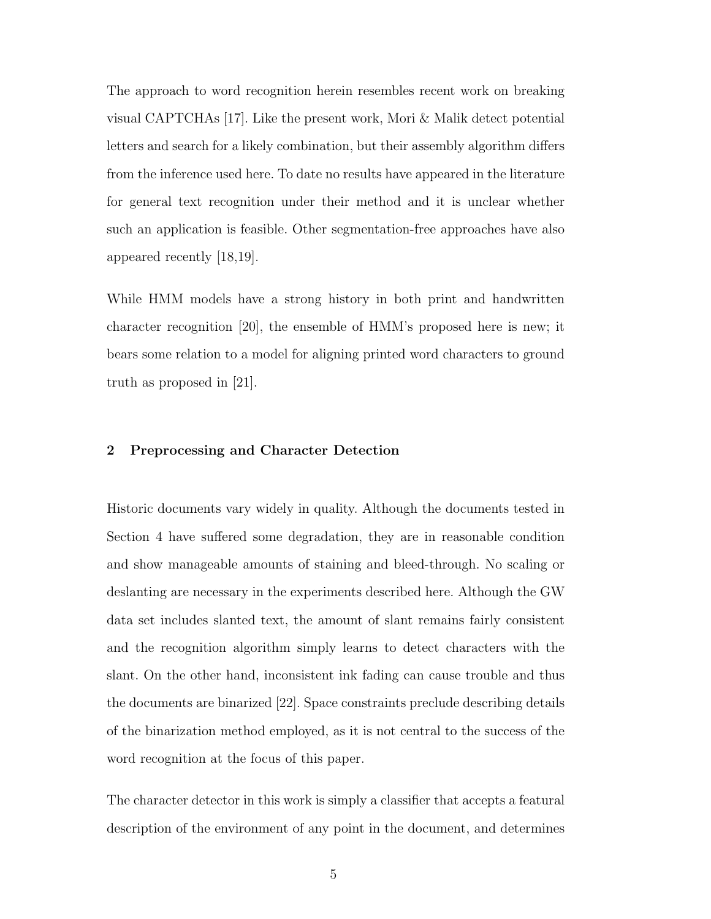The approach to word recognition herein resembles recent work on breaking visual CAPTCHAs [17]. Like the present work, Mori & Malik detect potential letters and search for a likely combination, but their assembly algorithm differs from the inference used here. To date no results have appeared in the literature for general text recognition under their method and it is unclear whether such an application is feasible. Other segmentation-free approaches have also appeared recently [18,19].

While HMM models have a strong history in both print and handwritten character recognition [20], the ensemble of HMM's proposed here is new; it bears some relation to a model for aligning printed word characters to ground truth as proposed in [21].

# 2 Preprocessing and Character Detection

Historic documents vary widely in quality. Although the documents tested in Section 4 have suffered some degradation, they are in reasonable condition and show manageable amounts of staining and bleed-through. No scaling or deslanting are necessary in the experiments described here. Although the GW data set includes slanted text, the amount of slant remains fairly consistent and the recognition algorithm simply learns to detect characters with the slant. On the other hand, inconsistent ink fading can cause trouble and thus the documents are binarized [22]. Space constraints preclude describing details of the binarization method employed, as it is not central to the success of the word recognition at the focus of this paper.

The character detector in this work is simply a classifier that accepts a featural description of the environment of any point in the document, and determines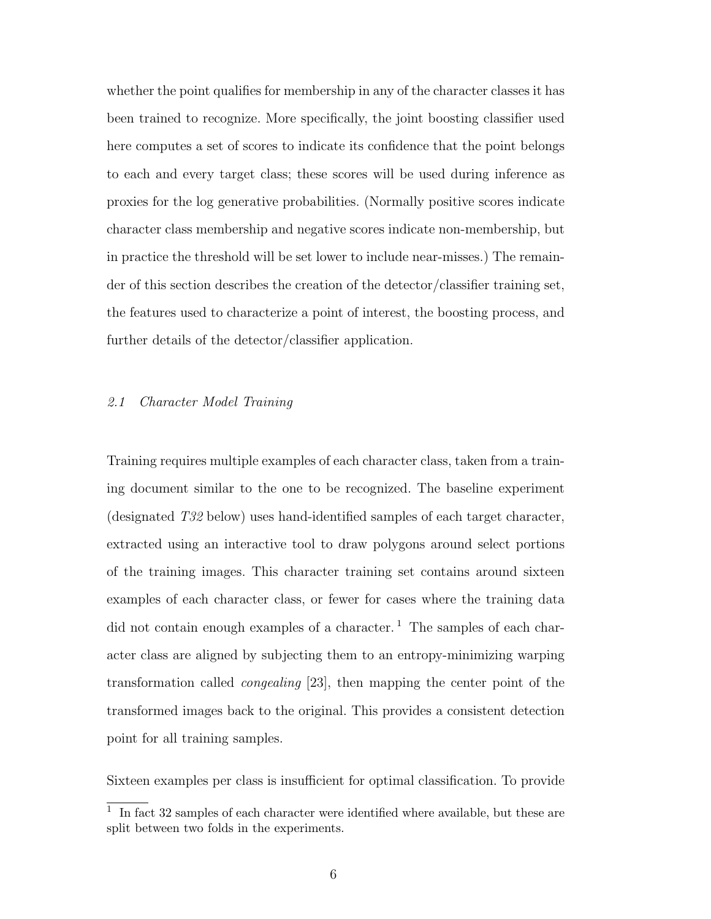whether the point qualifies for membership in any of the character classes it has been trained to recognize. More specifically, the joint boosting classifier used here computes a set of scores to indicate its confidence that the point belongs to each and every target class; these scores will be used during inference as proxies for the log generative probabilities. (Normally positive scores indicate character class membership and negative scores indicate non-membership, but in practice the threshold will be set lower to include near-misses.) The remainder of this section describes the creation of the detector/classifier training set, the features used to characterize a point of interest, the boosting process, and further details of the detector/classifier application.

# 2.1 Character Model Training

Training requires multiple examples of each character class, taken from a training document similar to the one to be recognized. The baseline experiment (designated T32 below) uses hand-identified samples of each target character, extracted using an interactive tool to draw polygons around select portions of the training images. This character training set contains around sixteen examples of each character class, or fewer for cases where the training data did not contain enough examples of a character.<sup>1</sup> The samples of each character class are aligned by subjecting them to an entropy-minimizing warping transformation called congealing [23], then mapping the center point of the transformed images back to the original. This provides a consistent detection point for all training samples.

Sixteen examples per class is insufficient for optimal classification. To provide

<sup>&</sup>lt;sup>1</sup> In fact 32 samples of each character were identified where available, but these are split between two folds in the experiments.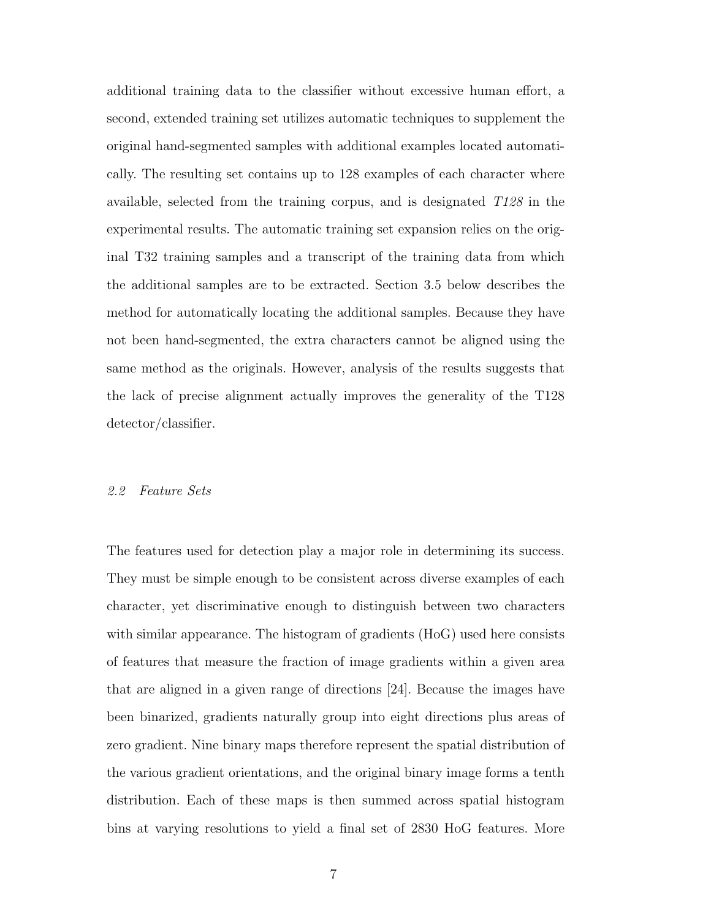additional training data to the classifier without excessive human effort, a second, extended training set utilizes automatic techniques to supplement the original hand-segmented samples with additional examples located automatically. The resulting set contains up to 128 examples of each character where available, selected from the training corpus, and is designated T128 in the experimental results. The automatic training set expansion relies on the original T32 training samples and a transcript of the training data from which the additional samples are to be extracted. Section 3.5 below describes the method for automatically locating the additional samples. Because they have not been hand-segmented, the extra characters cannot be aligned using the same method as the originals. However, analysis of the results suggests that the lack of precise alignment actually improves the generality of the T128 detector/classifier.

# 2.2 Feature Sets

The features used for detection play a major role in determining its success. They must be simple enough to be consistent across diverse examples of each character, yet discriminative enough to distinguish between two characters with similar appearance. The histogram of gradients (HoG) used here consists of features that measure the fraction of image gradients within a given area that are aligned in a given range of directions [24]. Because the images have been binarized, gradients naturally group into eight directions plus areas of zero gradient. Nine binary maps therefore represent the spatial distribution of the various gradient orientations, and the original binary image forms a tenth distribution. Each of these maps is then summed across spatial histogram bins at varying resolutions to yield a final set of 2830 HoG features. More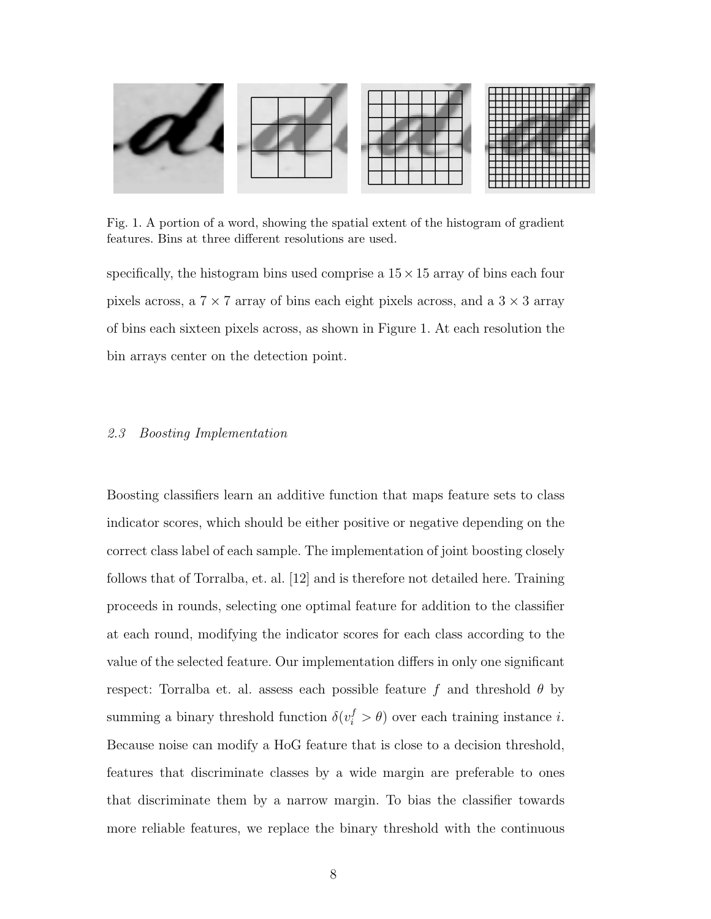

Fig. 1. A portion of a word, showing the spatial extent of the histogram of gradient features. Bins at three different resolutions are used.

specifically, the histogram bins used comprise a  $15 \times 15$  array of bins each four pixels across, a  $7 \times 7$  array of bins each eight pixels across, and a  $3 \times 3$  array of bins each sixteen pixels across, as shown in Figure 1. At each resolution the bin arrays center on the detection point.

# 2.3 Boosting Implementation

Boosting classifiers learn an additive function that maps feature sets to class indicator scores, which should be either positive or negative depending on the correct class label of each sample. The implementation of joint boosting closely follows that of Torralba, et. al. [12] and is therefore not detailed here. Training proceeds in rounds, selecting one optimal feature for addition to the classifier at each round, modifying the indicator scores for each class according to the value of the selected feature. Our implementation differs in only one significant respect: Torralba et. al. assess each possible feature f and threshold  $\theta$  by summing a binary threshold function  $\delta(v_i^f > \theta)$  over each training instance *i*. Because noise can modify a HoG feature that is close to a decision threshold, features that discriminate classes by a wide margin are preferable to ones that discriminate them by a narrow margin. To bias the classifier towards more reliable features, we replace the binary threshold with the continuous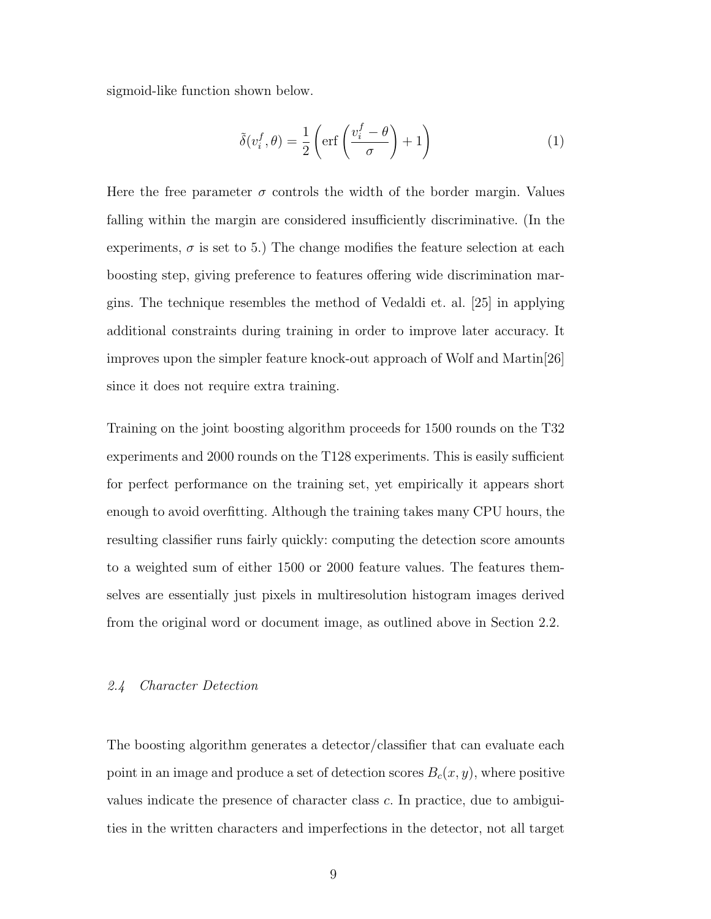sigmoid-like function shown below.

$$
\tilde{\delta}(v_i^f, \theta) = \frac{1}{2} \left( \text{erf}\left(\frac{v_i^f - \theta}{\sigma}\right) + 1 \right) \tag{1}
$$

Here the free parameter  $\sigma$  controls the width of the border margin. Values falling within the margin are considered insufficiently discriminative. (In the experiments,  $\sigma$  is set to 5.) The change modifies the feature selection at each boosting step, giving preference to features offering wide discrimination margins. The technique resembles the method of Vedaldi et. al. [25] in applying additional constraints during training in order to improve later accuracy. It improves upon the simpler feature knock-out approach of Wolf and Martin[26] since it does not require extra training.

Training on the joint boosting algorithm proceeds for 1500 rounds on the T32 experiments and 2000 rounds on the T128 experiments. This is easily sufficient for perfect performance on the training set, yet empirically it appears short enough to avoid overfitting. Although the training takes many CPU hours, the resulting classifier runs fairly quickly: computing the detection score amounts to a weighted sum of either 1500 or 2000 feature values. The features themselves are essentially just pixels in multiresolution histogram images derived from the original word or document image, as outlined above in Section 2.2.

#### 2.4 Character Detection

The boosting algorithm generates a detector/classifier that can evaluate each point in an image and produce a set of detection scores  $B_c(x, y)$ , where positive values indicate the presence of character class c. In practice, due to ambiguities in the written characters and imperfections in the detector, not all target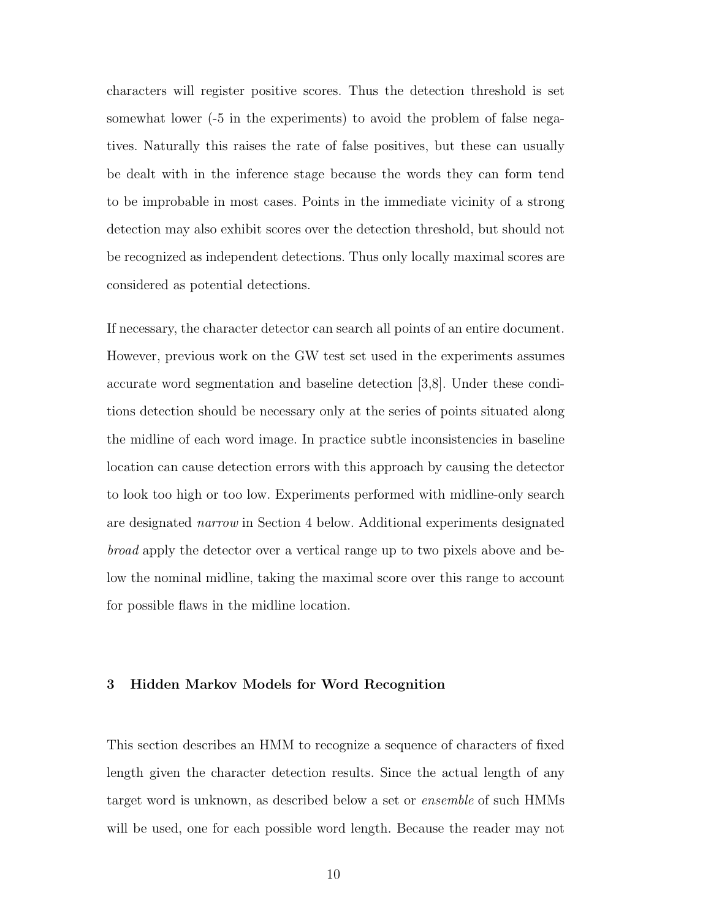characters will register positive scores. Thus the detection threshold is set somewhat lower (-5 in the experiments) to avoid the problem of false negatives. Naturally this raises the rate of false positives, but these can usually be dealt with in the inference stage because the words they can form tend to be improbable in most cases. Points in the immediate vicinity of a strong detection may also exhibit scores over the detection threshold, but should not be recognized as independent detections. Thus only locally maximal scores are considered as potential detections.

If necessary, the character detector can search all points of an entire document. However, previous work on the GW test set used in the experiments assumes accurate word segmentation and baseline detection [3,8]. Under these conditions detection should be necessary only at the series of points situated along the midline of each word image. In practice subtle inconsistencies in baseline location can cause detection errors with this approach by causing the detector to look too high or too low. Experiments performed with midline-only search are designated narrow in Section 4 below. Additional experiments designated broad apply the detector over a vertical range up to two pixels above and below the nominal midline, taking the maximal score over this range to account for possible flaws in the midline location.

# 3 Hidden Markov Models for Word Recognition

This section describes an HMM to recognize a sequence of characters of fixed length given the character detection results. Since the actual length of any target word is unknown, as described below a set or ensemble of such HMMs will be used, one for each possible word length. Because the reader may not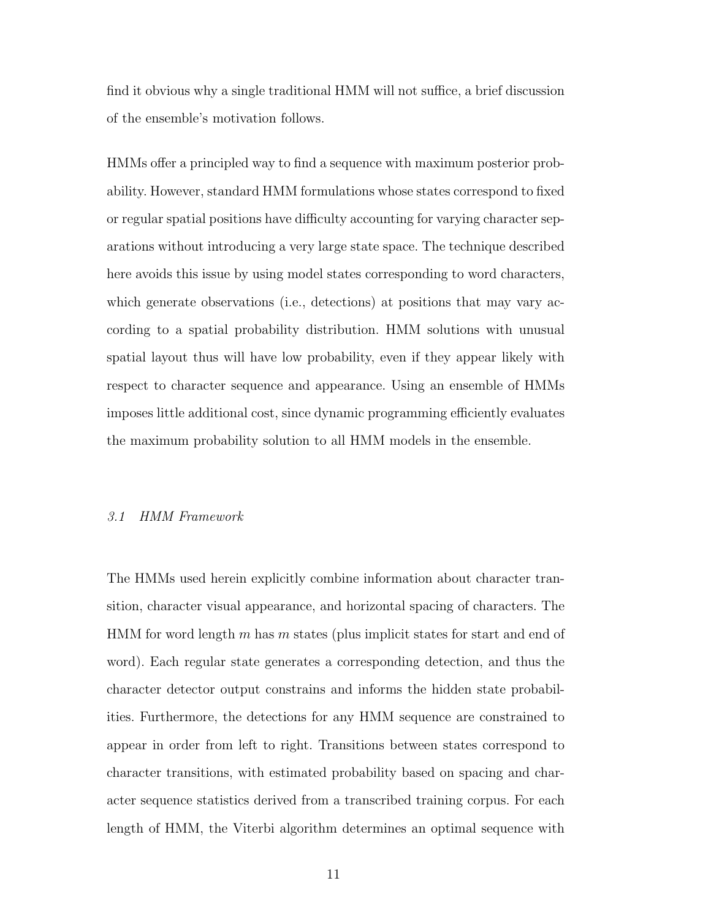find it obvious why a single traditional HMM will not suffice, a brief discussion of the ensemble's motivation follows.

HMMs offer a principled way to find a sequence with maximum posterior probability. However, standard HMM formulations whose states correspond to fixed or regular spatial positions have difficulty accounting for varying character separations without introducing a very large state space. The technique described here avoids this issue by using model states corresponding to word characters, which generate observations (i.e., detections) at positions that may vary according to a spatial probability distribution. HMM solutions with unusual spatial layout thus will have low probability, even if they appear likely with respect to character sequence and appearance. Using an ensemble of HMMs imposes little additional cost, since dynamic programming efficiently evaluates the maximum probability solution to all HMM models in the ensemble.

# 3.1 HMM Framework

The HMMs used herein explicitly combine information about character transition, character visual appearance, and horizontal spacing of characters. The HMM for word length  $m$  has  $m$  states (plus implicit states for start and end of word). Each regular state generates a corresponding detection, and thus the character detector output constrains and informs the hidden state probabilities. Furthermore, the detections for any HMM sequence are constrained to appear in order from left to right. Transitions between states correspond to character transitions, with estimated probability based on spacing and character sequence statistics derived from a transcribed training corpus. For each length of HMM, the Viterbi algorithm determines an optimal sequence with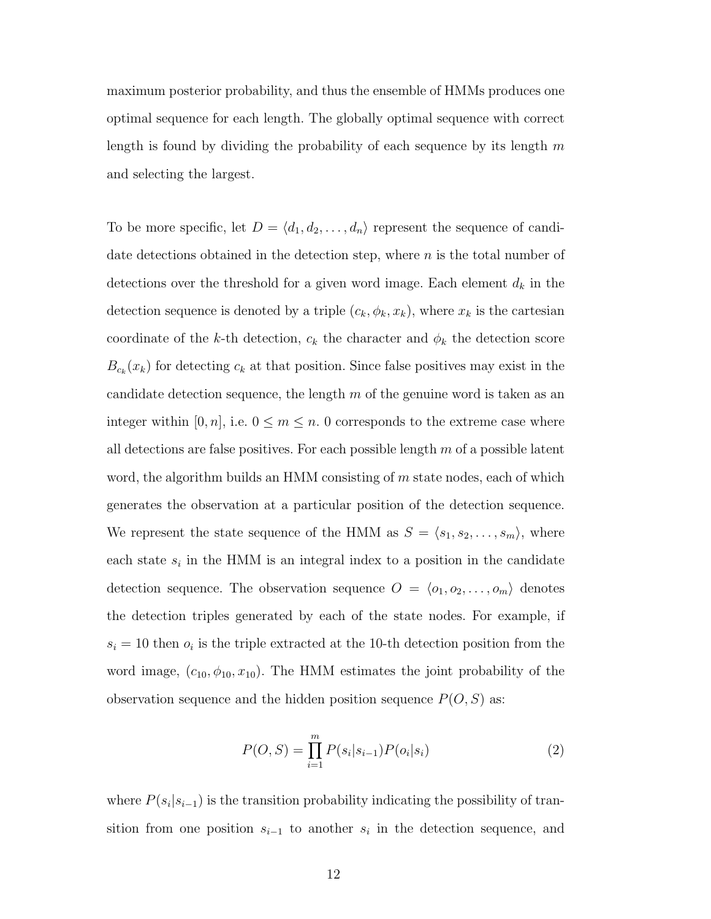maximum posterior probability, and thus the ensemble of HMMs produces one optimal sequence for each length. The globally optimal sequence with correct length is found by dividing the probability of each sequence by its length  $m$ and selecting the largest.

To be more specific, let  $D = \langle d_1, d_2, \ldots, d_n \rangle$  represent the sequence of candidate detections obtained in the detection step, where  $n$  is the total number of detections over the threshold for a given word image. Each element  $d_k$  in the detection sequence is denoted by a triple  $(c_k, \phi_k, x_k)$ , where  $x_k$  is the cartesian coordinate of the k-th detection,  $c_k$  the character and  $\phi_k$  the detection score  $B_{c_k}(x_k)$  for detecting  $c_k$  at that position. Since false positives may exist in the candidate detection sequence, the length  $m$  of the genuine word is taken as an integer within [0, n], i.e.  $0 \le m \le n$ . 0 corresponds to the extreme case where all detections are false positives. For each possible length  $m$  of a possible latent word, the algorithm builds an HMM consisting of  $m$  state nodes, each of which generates the observation at a particular position of the detection sequence. We represent the state sequence of the HMM as  $S = \langle s_1, s_2, \ldots, s_m \rangle$ , where each state  $s_i$  in the HMM is an integral index to a position in the candidate detection sequence. The observation sequence  $O = \langle o_1, o_2, \ldots, o_m \rangle$  denotes the detection triples generated by each of the state nodes. For example, if  $s_i = 10$  then  $o_i$  is the triple extracted at the 10-th detection position from the word image,  $(c_{10}, \phi_{10}, x_{10})$ . The HMM estimates the joint probability of the observation sequence and the hidden position sequence  $P(O, S)$  as:

$$
P(O, S) = \prod_{i=1}^{m} P(s_i | s_{i-1}) P(o_i | s_i)
$$
 (2)

where  $P(s_i|s_{i-1})$  is the transition probability indicating the possibility of transition from one position  $s_{i-1}$  to another  $s_i$  in the detection sequence, and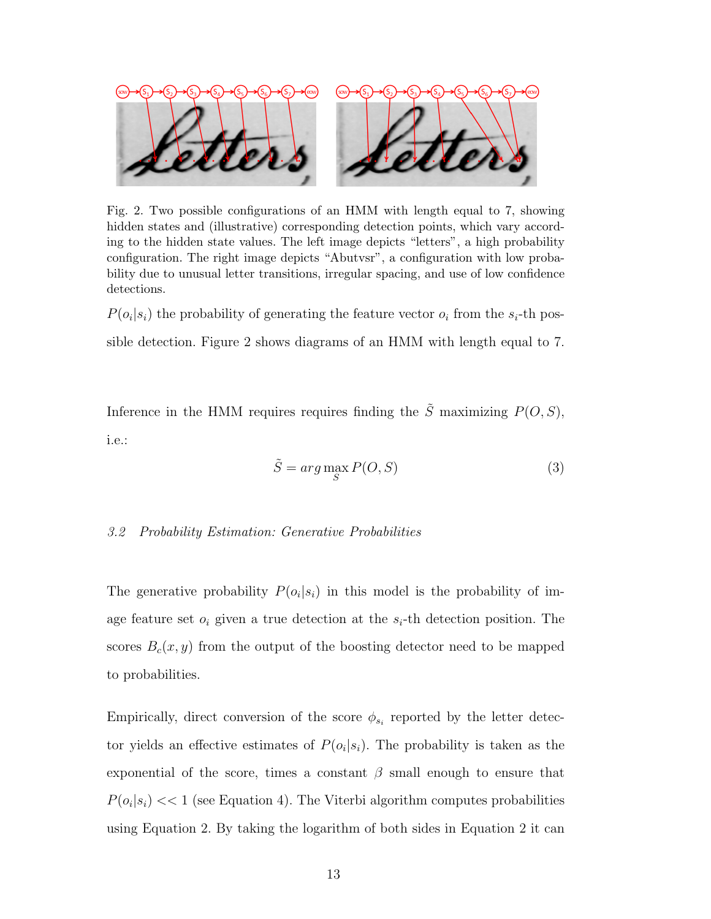

Fig. 2. Two possible configurations of an HMM with length equal to 7, showing hidden states and (illustrative) corresponding detection points, which vary according to the hidden state values. The left image depicts "letters", a high probability configuration. The right image depicts "Abutvsr", a configuration with low probability due to unusual letter transitions, irregular spacing, and use of low confidence detections.

 $P(o_i|s_i)$  the probability of generating the feature vector  $o_i$  from the  $s_i$ -th possible detection. Figure 2 shows diagrams of an HMM with length equal to 7.

Inference in the HMM requires requires finding the  $\tilde{S}$  maximizing  $P(O, S)$ , i.e.:

$$
\tilde{S} = arg \max_{S} P(O, S)
$$
\n(3)

# 3.2 Probability Estimation: Generative Probabilities

The generative probability  $P(o_i|s_i)$  in this model is the probability of image feature set  $o_i$  given a true detection at the  $s_i$ -th detection position. The scores  $B_c(x, y)$  from the output of the boosting detector need to be mapped to probabilities.

Empirically, direct conversion of the score  $\phi_{s_i}$  reported by the letter detector yields an effective estimates of  $P(o_i|s_i)$ . The probability is taken as the exponential of the score, times a constant  $\beta$  small enough to ensure that  $P(o_i|s_i) \ll 1$  (see Equation 4). The Viterbi algorithm computes probabilities using Equation 2. By taking the logarithm of both sides in Equation 2 it can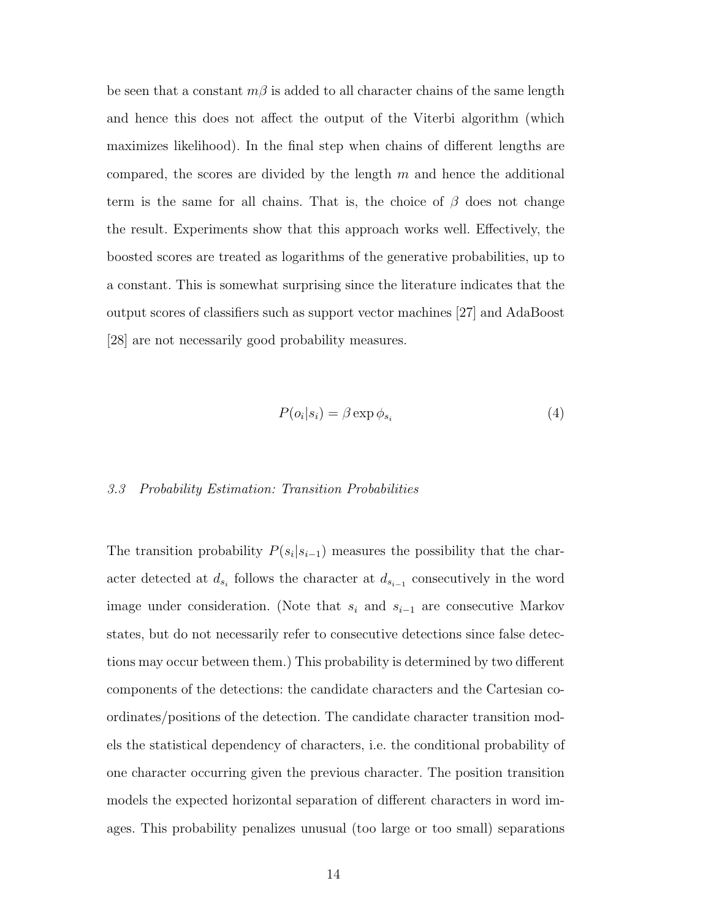be seen that a constant  $m\beta$  is added to all character chains of the same length and hence this does not affect the output of the Viterbi algorithm (which maximizes likelihood). In the final step when chains of different lengths are compared, the scores are divided by the length  $m$  and hence the additional term is the same for all chains. That is, the choice of  $\beta$  does not change the result. Experiments show that this approach works well. Effectively, the boosted scores are treated as logarithms of the generative probabilities, up to a constant. This is somewhat surprising since the literature indicates that the output scores of classifiers such as support vector machines [27] and AdaBoost [28] are not necessarily good probability measures.

$$
P(o_i|s_i) = \beta \exp \phi_{s_i}
$$
\n<sup>(4)</sup>

#### 3.3 Probability Estimation: Transition Probabilities

The transition probability  $P(s_i|s_{i-1})$  measures the possibility that the character detected at  $d_{s_i}$  follows the character at  $d_{s_{i-1}}$  consecutively in the word image under consideration. (Note that  $s_i$  and  $s_{i-1}$  are consecutive Markov states, but do not necessarily refer to consecutive detections since false detections may occur between them.) This probability is determined by two different components of the detections: the candidate characters and the Cartesian coordinates/positions of the detection. The candidate character transition models the statistical dependency of characters, i.e. the conditional probability of one character occurring given the previous character. The position transition models the expected horizontal separation of different characters in word images. This probability penalizes unusual (too large or too small) separations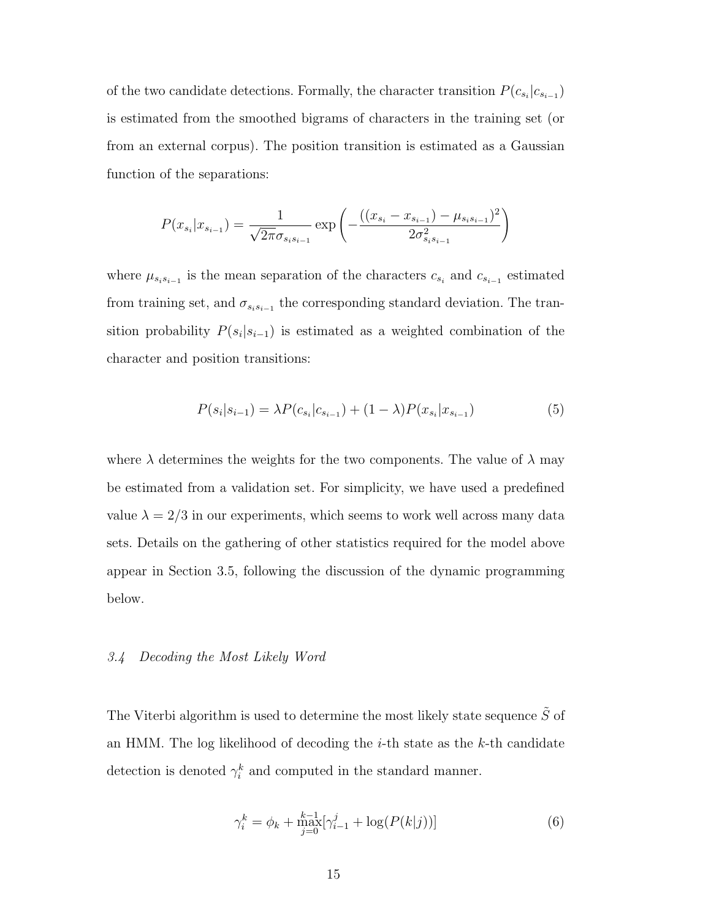of the two candidate detections. Formally, the character transition  $P(c_{s_i}|c_{s_{i-1}})$ is estimated from the smoothed bigrams of characters in the training set (or from an external corpus). The position transition is estimated as a Gaussian function of the separations:

$$
P(x_{s_i}|x_{s_{i-1}}) = \frac{1}{\sqrt{2\pi}\sigma_{s_i s_{i-1}}} \exp\left(-\frac{((x_{s_i} - x_{s_{i-1}}) - \mu_{s_i s_{i-1}})^2}{2\sigma_{s_i s_{i-1}}^2}\right)
$$

where  $\mu_{s_i s_{i-1}}$  is the mean separation of the characters  $c_{s_i}$  and  $c_{s_{i-1}}$  estimated from training set, and  $\sigma_{s_i s_{i-1}}$  the corresponding standard deviation. The transition probability  $P(s_i|s_{i-1})$  is estimated as a weighted combination of the character and position transitions:

$$
P(s_i|s_{i-1}) = \lambda P(c_{s_i}|c_{s_{i-1}}) + (1-\lambda)P(x_{s_i}|x_{s_{i-1}})
$$
\n(5)

where  $\lambda$  determines the weights for the two components. The value of  $\lambda$  may be estimated from a validation set. For simplicity, we have used a predefined value  $\lambda = 2/3$  in our experiments, which seems to work well across many data sets. Details on the gathering of other statistics required for the model above appear in Section 3.5, following the discussion of the dynamic programming below.

# 3.4 Decoding the Most Likely Word

The Viterbi algorithm is used to determine the most likely state sequence  $\tilde{S}$  of an HMM. The log likelihood of decoding the  $i$ -th state as the  $k$ -th candidate detection is denoted  $\gamma_i^k$  and computed in the standard manner.

$$
\gamma_i^k = \phi_k + \max_{j=0}^{k-1} [\gamma_{i-1}^j + \log(P(k|j))]
$$
\n(6)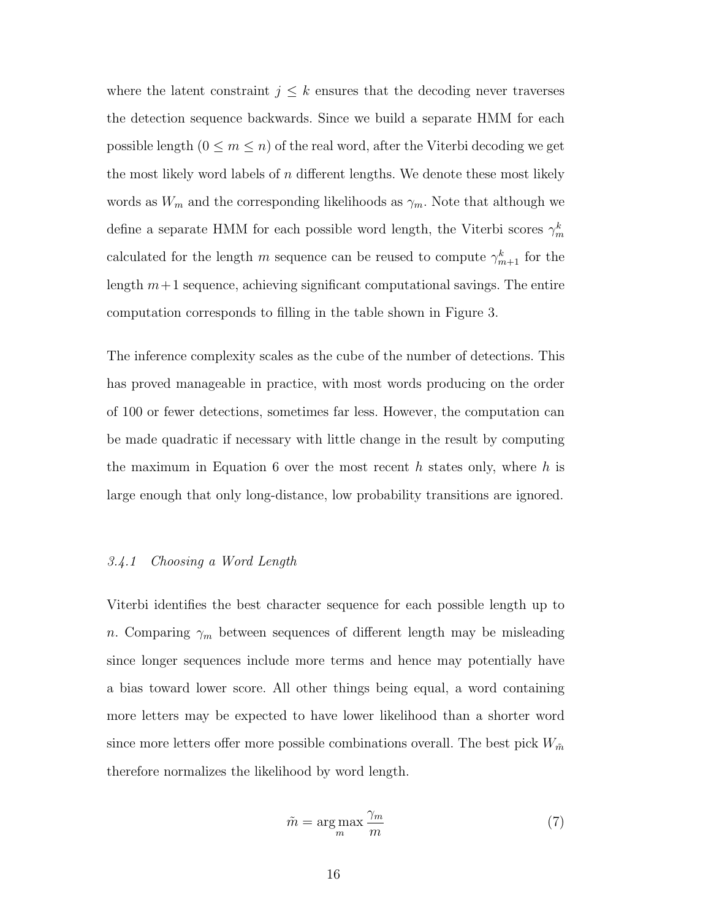where the latent constraint  $j \leq k$  ensures that the decoding never traverses the detection sequence backwards. Since we build a separate HMM for each possible length  $(0 \le m \le n)$  of the real word, after the Viterbi decoding we get the most likely word labels of n different lengths. We denote these most likely words as  $W_m$  and the corresponding likelihoods as  $\gamma_m$ . Note that although we define a separate HMM for each possible word length, the Viterbi scores  $\gamma_m^k$ calculated for the length m sequence can be reused to compute  $\gamma_{m+1}^k$  for the length  $m+1$  sequence, achieving significant computational savings. The entire computation corresponds to filling in the table shown in Figure 3.

The inference complexity scales as the cube of the number of detections. This has proved manageable in practice, with most words producing on the order of 100 or fewer detections, sometimes far less. However, the computation can be made quadratic if necessary with little change in the result by computing the maximum in Equation 6 over the most recent h states only, where h is large enough that only long-distance, low probability transitions are ignored.

# 3.4.1 Choosing a Word Length

Viterbi identifies the best character sequence for each possible length up to n. Comparing  $\gamma_m$  between sequences of different length may be misleading since longer sequences include more terms and hence may potentially have a bias toward lower score. All other things being equal, a word containing more letters may be expected to have lower likelihood than a shorter word since more letters offer more possible combinations overall. The best pick  $W_{\tilde{m}}$ therefore normalizes the likelihood by word length.

$$
\tilde{m} = \underset{m}{\arg\max} \frac{\gamma_m}{m} \tag{7}
$$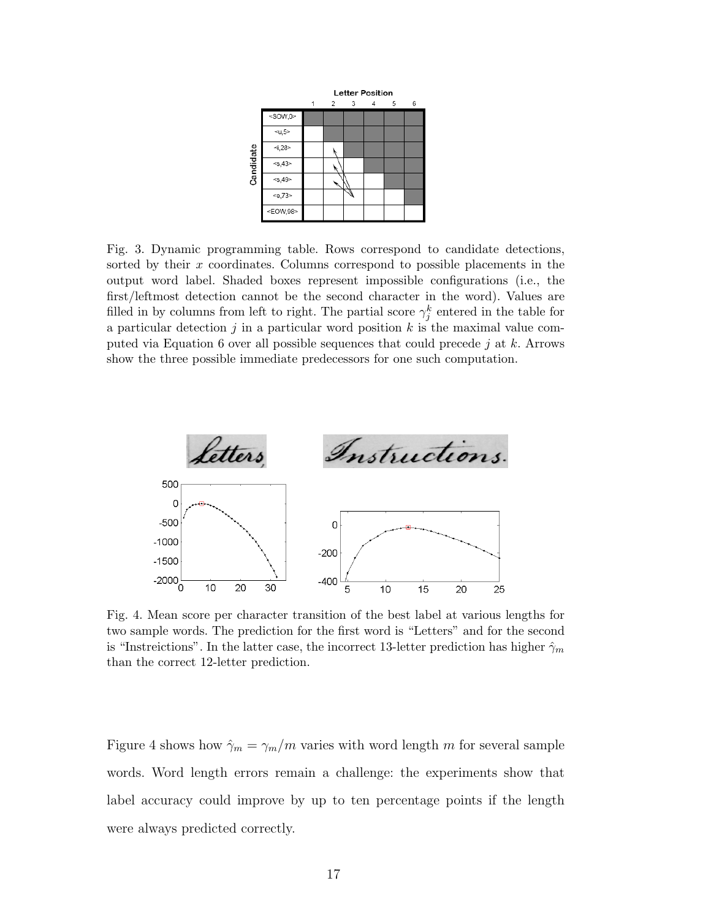

Fig. 3. Dynamic programming table. Rows correspond to candidate detections, sorted by their x coordinates. Columns correspond to possible placements in the output word label. Shaded boxes represent impossible configurations (i.e., the first/leftmost detection cannot be the second character in the word). Values are filled in by columns from left to right. The partial score  $\gamma_j^k$  entered in the table for a particular detection  $j$  in a particular word position  $k$  is the maximal value computed via Equation 6 over all possible sequences that could precede  $j$  at  $k$ . Arrows show the three possible immediate predecessors for one such computation.



Fig. 4. Mean score per character transition of the best label at various lengths for two sample words. The prediction for the first word is "Letters" and for the second is "Instreictions". In the latter case, the incorrect 13-letter prediction has higher  $\hat{\gamma}_m$ than the correct 12-letter prediction.

Figure 4 shows how  $\hat{\gamma}_m = \gamma_m/m$  varies with word length m for several sample words. Word length errors remain a challenge: the experiments show that label accuracy could improve by up to ten percentage points if the length were always predicted correctly.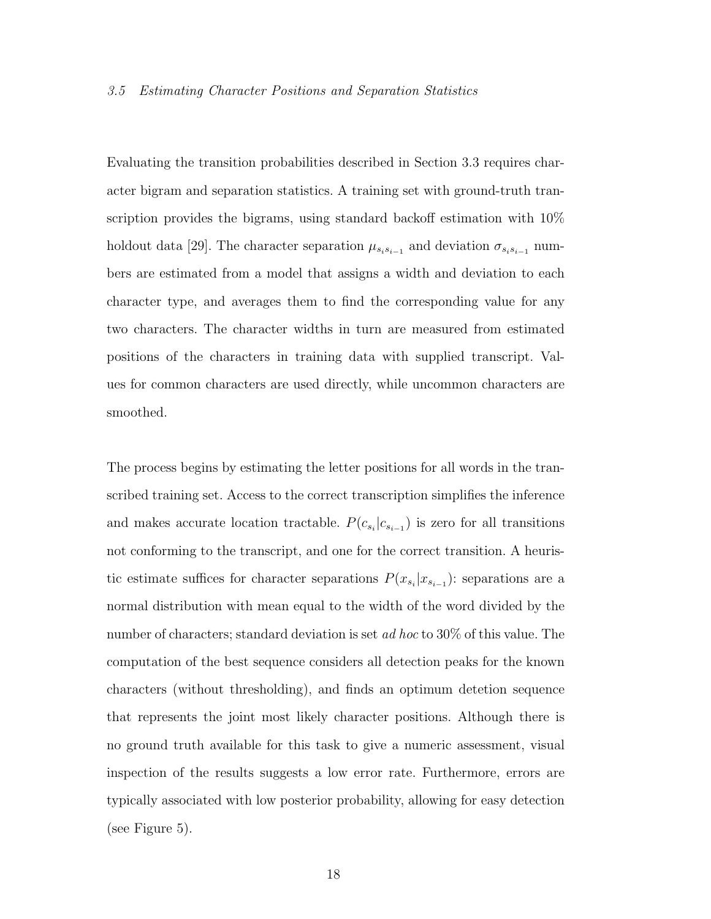#### 3.5 Estimating Character Positions and Separation Statistics

Evaluating the transition probabilities described in Section 3.3 requires character bigram and separation statistics. A training set with ground-truth transcription provides the bigrams, using standard backoff estimation with 10% holdout data [29]. The character separation  $\mu_{s_i s_{i-1}}$  and deviation  $\sigma_{s_i s_{i-1}}$  numbers are estimated from a model that assigns a width and deviation to each character type, and averages them to find the corresponding value for any two characters. The character widths in turn are measured from estimated positions of the characters in training data with supplied transcript. Values for common characters are used directly, while uncommon characters are smoothed.

The process begins by estimating the letter positions for all words in the transcribed training set. Access to the correct transcription simplifies the inference and makes accurate location tractable.  $P(c_{s_i}|c_{s_{i-1}})$  is zero for all transitions not conforming to the transcript, and one for the correct transition. A heuristic estimate suffices for character separations  $P(x_{s_i}|x_{s_{i-1}})$ : separations are a normal distribution with mean equal to the width of the word divided by the number of characters; standard deviation is set *ad hoc* to 30% of this value. The computation of the best sequence considers all detection peaks for the known characters (without thresholding), and finds an optimum detetion sequence that represents the joint most likely character positions. Although there is no ground truth available for this task to give a numeric assessment, visual inspection of the results suggests a low error rate. Furthermore, errors are typically associated with low posterior probability, allowing for easy detection (see Figure 5).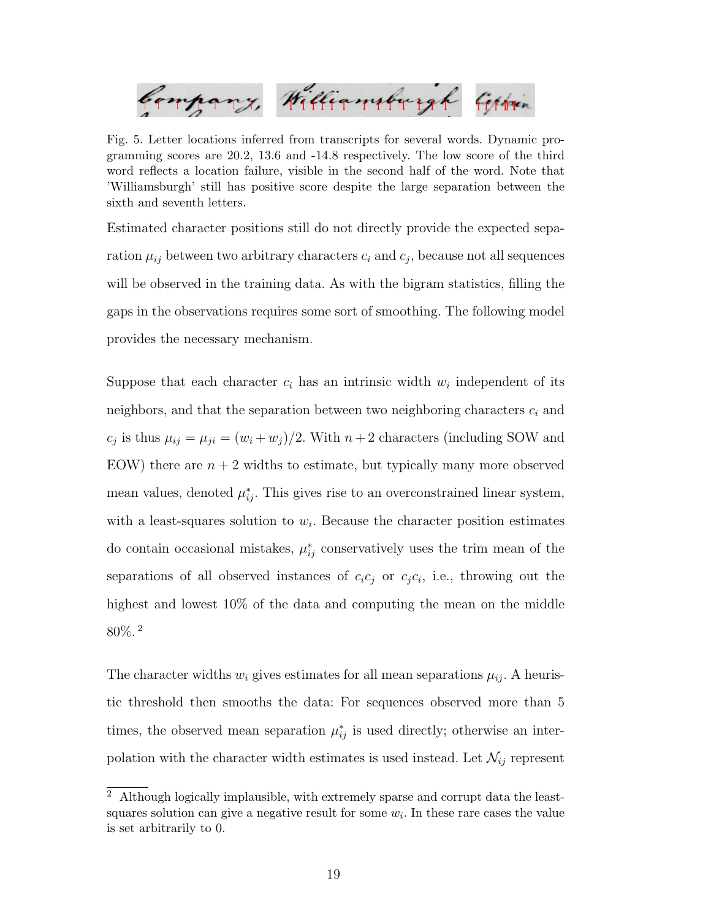

Fig. 5. Letter locations inferred from transcripts for several words. Dynamic programming scores are 20.2, 13.6 and -14.8 respectively. The low score of the third word reflects a location failure, visible in the second half of the word. Note that 'Williamsburgh' still has positive score despite the large separation between the sixth and seventh letters.

Estimated character positions still do not directly provide the expected separation  $\mu_{ij}$  between two arbitrary characters  $c_i$  and  $c_j$ , because not all sequences will be observed in the training data. As with the bigram statistics, filling the gaps in the observations requires some sort of smoothing. The following model provides the necessary mechanism.

Suppose that each character  $c_i$  has an intrinsic width  $w_i$  independent of its neighbors, and that the separation between two neighboring characters  $c_i$  and  $c_j$  is thus  $\mu_{ij} = \mu_{ji} = (w_i + w_j)/2$ . With  $n + 2$  characters (including SOW and EOW) there are  $n + 2$  widths to estimate, but typically many more observed mean values, denoted  $\mu_{ij}^*$ . This gives rise to an overconstrained linear system, with a least-squares solution to  $w_i$ . Because the character position estimates do contain occasional mistakes,  $\mu_{ij}^*$  conservatively uses the trim mean of the separations of all observed instances of  $c_i c_j$  or  $c_j c_i$ , i.e., throwing out the highest and lowest  $10\%$  of the data and computing the mean on the middle 80%. <sup>2</sup>

The character widths  $w_i$  gives estimates for all mean separations  $\mu_{ij}$ . A heuristic threshold then smooths the data: For sequences observed more than 5 times, the observed mean separation  $\mu_{ij}^*$  is used directly; otherwise an interpolation with the character width estimates is used instead. Let  $\mathcal{N}_{ij}$  represent

<sup>2</sup> Although logically implausible, with extremely sparse and corrupt data the leastsquares solution can give a negative result for some  $w_i$ . In these rare cases the value is set arbitrarily to 0.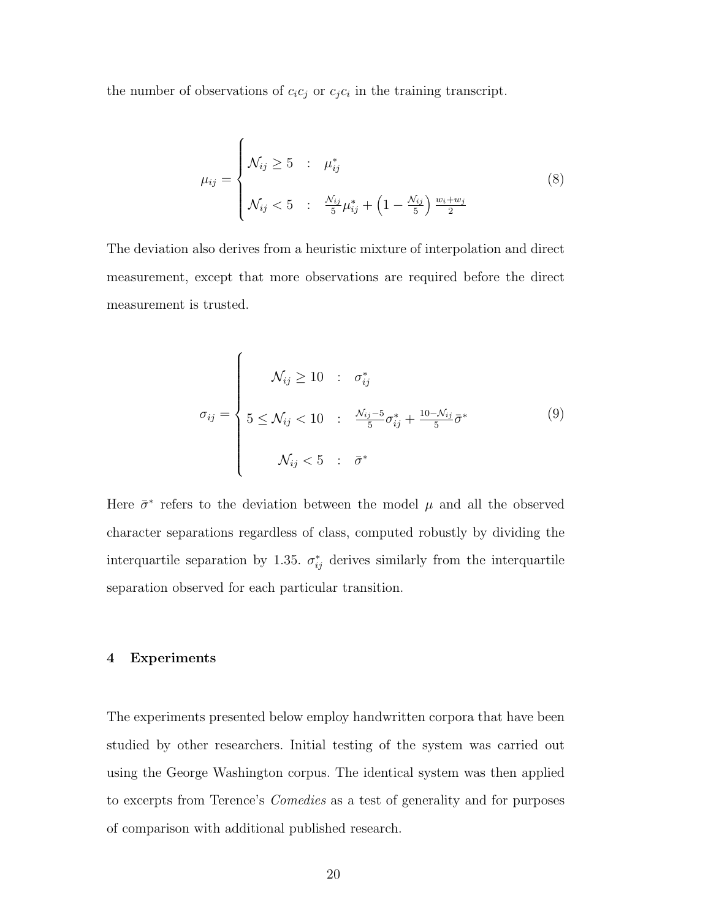the number of observations of  $c_i c_j$  or  $c_j c_i$  in the training transcript.

 $\overline{ }$ 

$$
\mu_{ij} = \begin{cases}\n\mathcal{N}_{ij} \ge 5 & : \mu_{ij}^* \\
\mathcal{N}_{ij} < 5 & : \frac{\mathcal{N}_{ij}}{5} \mu_{ij}^* + \left(1 - \frac{\mathcal{N}_{ij}}{5}\right) \frac{w_i + w_j}{2}\n\end{cases} \tag{8}
$$

The deviation also derives from a heuristic mixture of interpolation and direct measurement, except that more observations are required before the direct measurement is trusted.

$$
\sigma_{ij} = \begin{cases}\n\mathcal{N}_{ij} \ge 10 & : \sigma_{ij}^* \\
5 \le \mathcal{N}_{ij} < 10 & : \frac{\mathcal{N}_{ij} - 5}{5} \sigma_{ij}^* + \frac{10 - \mathcal{N}_{ij}}{5} \bar{\sigma}^* \\
\mathcal{N}_{ij} < 5 & : \bar{\sigma}^*\n\end{cases} \tag{9}
$$

Here  $\bar{\sigma}^*$  refers to the deviation between the model  $\mu$  and all the observed character separations regardless of class, computed robustly by dividing the interquartile separation by 1.35.  $\sigma_{ij}^*$  derives similarly from the interquartile separation observed for each particular transition.

# 4 Experiments

The experiments presented below employ handwritten corpora that have been studied by other researchers. Initial testing of the system was carried out using the George Washington corpus. The identical system was then applied to excerpts from Terence's Comedies as a test of generality and for purposes of comparison with additional published research.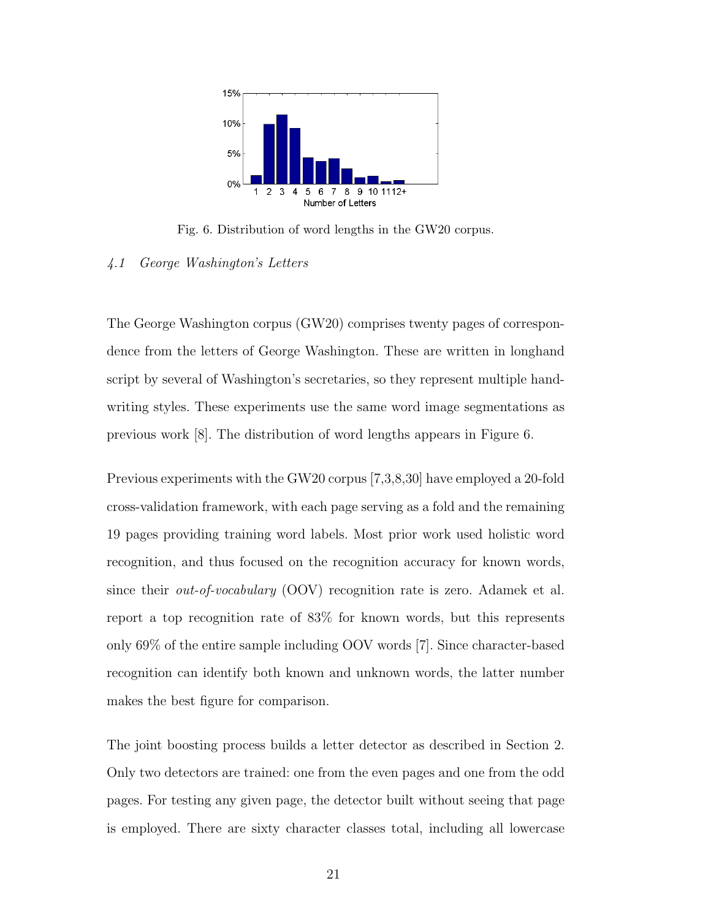

Fig. 6. Distribution of word lengths in the GW20 corpus.

#### 4.1 George Washington's Letters

The George Washington corpus (GW20) comprises twenty pages of correspondence from the letters of George Washington. These are written in longhand script by several of Washington's secretaries, so they represent multiple handwriting styles. These experiments use the same word image segmentations as previous work [8]. The distribution of word lengths appears in Figure 6.

Previous experiments with the GW20 corpus [7,3,8,30] have employed a 20-fold cross-validation framework, with each page serving as a fold and the remaining 19 pages providing training word labels. Most prior work used holistic word recognition, and thus focused on the recognition accuracy for known words, since their *out-of-vocabulary* (OOV) recognition rate is zero. Adamek et al. report a top recognition rate of 83% for known words, but this represents only 69% of the entire sample including OOV words [7]. Since character-based recognition can identify both known and unknown words, the latter number makes the best figure for comparison.

The joint boosting process builds a letter detector as described in Section 2. Only two detectors are trained: one from the even pages and one from the odd pages. For testing any given page, the detector built without seeing that page is employed. There are sixty character classes total, including all lowercase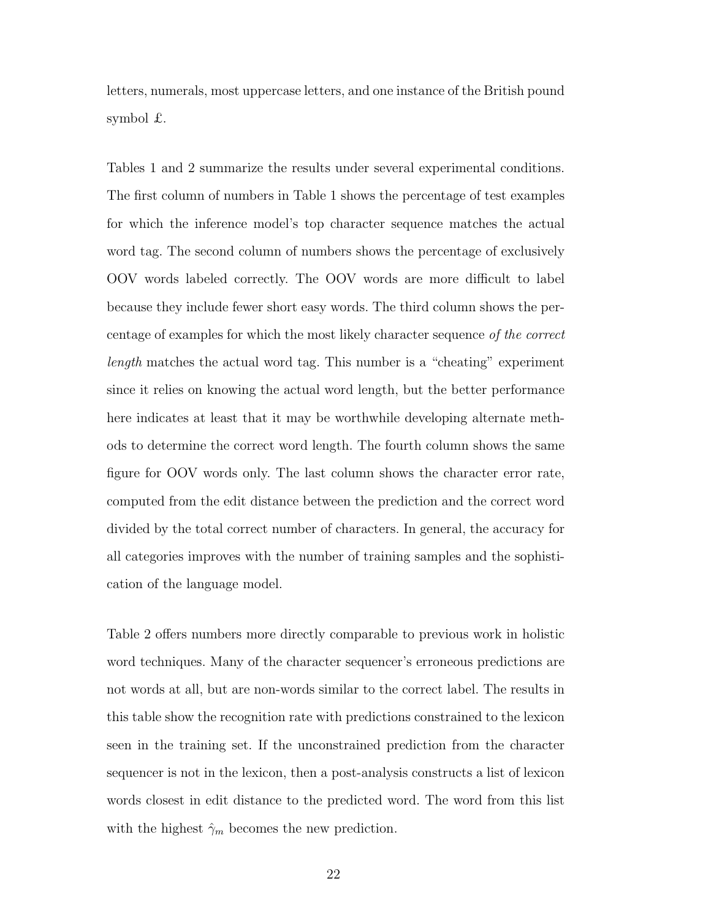letters, numerals, most uppercase letters, and one instance of the British pound symbol £.

Tables 1 and 2 summarize the results under several experimental conditions. The first column of numbers in Table 1 shows the percentage of test examples for which the inference model's top character sequence matches the actual word tag. The second column of numbers shows the percentage of exclusively OOV words labeled correctly. The OOV words are more difficult to label because they include fewer short easy words. The third column shows the percentage of examples for which the most likely character sequence of the correct length matches the actual word tag. This number is a "cheating" experiment since it relies on knowing the actual word length, but the better performance here indicates at least that it may be worthwhile developing alternate methods to determine the correct word length. The fourth column shows the same figure for OOV words only. The last column shows the character error rate, computed from the edit distance between the prediction and the correct word divided by the total correct number of characters. In general, the accuracy for all categories improves with the number of training samples and the sophistication of the language model.

Table 2 offers numbers more directly comparable to previous work in holistic word techniques. Many of the character sequencer's erroneous predictions are not words at all, but are non-words similar to the correct label. The results in this table show the recognition rate with predictions constrained to the lexicon seen in the training set. If the unconstrained prediction from the character sequencer is not in the lexicon, then a post-analysis constructs a list of lexicon words closest in edit distance to the predicted word. The word from this list with the highest  $\hat{\gamma}_m$  becomes the new prediction.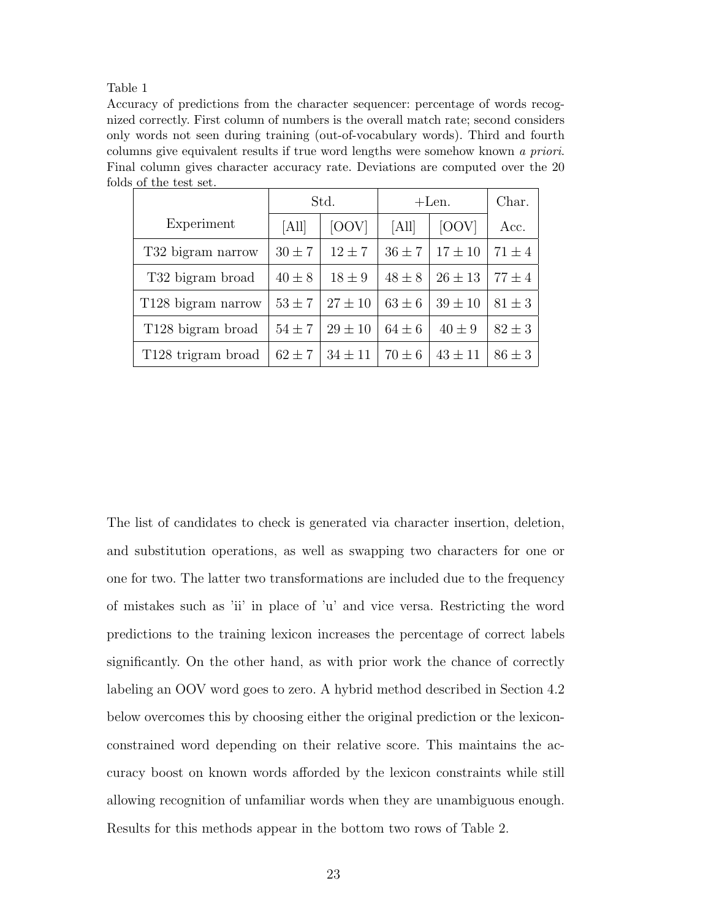# Table 1

Accuracy of predictions from the character sequencer: percentage of words recognized correctly. First column of numbers is the overall match rate; second considers only words not seen during training (out-of-vocabulary words). Third and fourth columns give equivalent results if true word lengths were somehow known a priori. Final column gives character accuracy rate. Deviations are computed over the 20 folds of the test set.

|                              |            | Std.        | $+$ Len.   | Char.       |            |
|------------------------------|------------|-------------|------------|-------------|------------|
| Experiment                   | [All]      | [OOV]       | [All]      | [OOV]       | Acc.       |
| T32 bigram narrow            | $30 \pm 7$ | $12 \pm 7$  | $36 \pm 7$ | $17 \pm 10$ | $71 \pm 4$ |
| T <sub>32</sub> bigram broad | $40 \pm 8$ | $18 \pm 9$  | $48 \pm 8$ | $26 \pm 13$ | $77 \pm 4$ |
| T128 bigram narrow           | $53 \pm 7$ | $27 \pm 10$ | $63 \pm 6$ | $39 \pm 10$ | $81 \pm 3$ |
| T128 bigram broad            | $54 \pm 7$ | $29 \pm 10$ | $64 \pm 6$ | $40 \pm 9$  | $82 \pm 3$ |
| T128 trigram broad           | $62 \pm 7$ | $34 \pm 11$ | $70 \pm 6$ | $43 \pm 11$ | $86 \pm 3$ |

The list of candidates to check is generated via character insertion, deletion, and substitution operations, as well as swapping two characters for one or one for two. The latter two transformations are included due to the frequency of mistakes such as 'ii' in place of 'u' and vice versa. Restricting the word predictions to the training lexicon increases the percentage of correct labels significantly. On the other hand, as with prior work the chance of correctly labeling an OOV word goes to zero. A hybrid method described in Section 4.2 below overcomes this by choosing either the original prediction or the lexiconconstrained word depending on their relative score. This maintains the accuracy boost on known words afforded by the lexicon constraints while still allowing recognition of unfamiliar words when they are unambiguous enough. Results for this methods appear in the bottom two rows of Table 2.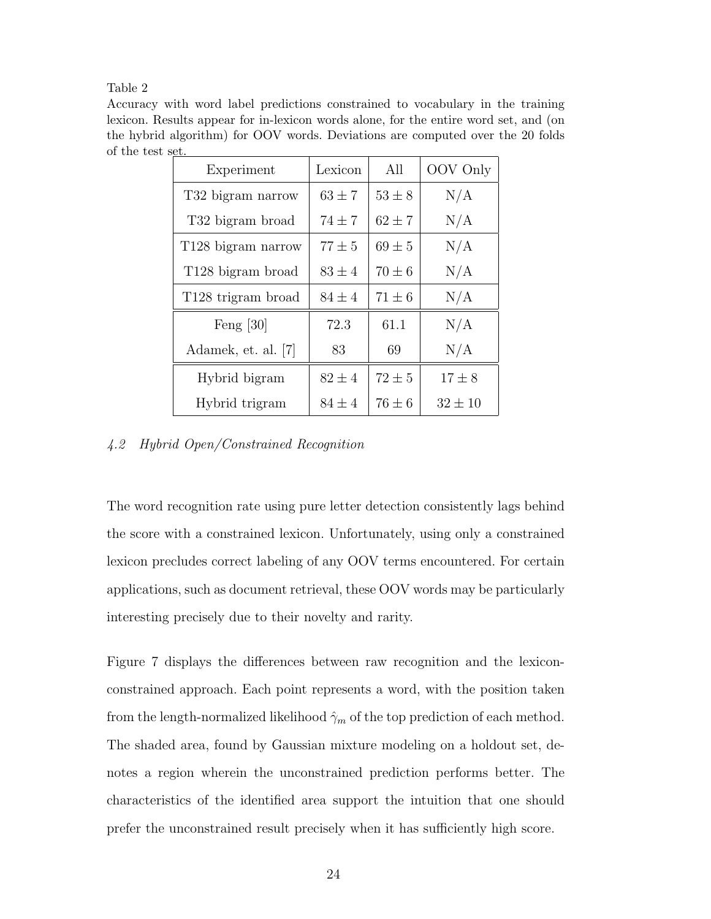# Table 2

Accuracy with word label predictions constrained to vocabulary in the training lexicon. Results appear for in-lexicon words alone, for the entire word set, and (on the hybrid algorithm) for OOV words. Deviations are computed over the 20 folds of the test set.

| Experiment                    | Lexicon    | All        | OOV Only    |  |
|-------------------------------|------------|------------|-------------|--|
| T <sub>32</sub> bigram narrow | $63 \pm 7$ | $53 \pm 8$ | N/A         |  |
| T32 bigram broad              | $74\pm7$   | $62 \pm 7$ | N/A         |  |
| T128 bigram narrow            | $77 \pm 5$ | $69 \pm 5$ | N/A         |  |
| T128 bigram broad             | $83 \pm 4$ | $70 \pm 6$ | N/A         |  |
| T128 trigram broad            | $84 \pm 4$ | $71 \pm 6$ | N/A         |  |
| Feng $[30]$                   | 72.3       | 61.1       | N/A         |  |
| Adamek, et. al. [7]           | 83         | 69         | N/A         |  |
| Hybrid bigram                 | $82 \pm 4$ | $72 \pm 5$ | $17 \pm 8$  |  |
| Hybrid trigram                | $84 \pm 4$ | $76 \pm 6$ | $32 \pm 10$ |  |

4.2 Hybrid Open/Constrained Recognition

The word recognition rate using pure letter detection consistently lags behind the score with a constrained lexicon. Unfortunately, using only a constrained lexicon precludes correct labeling of any OOV terms encountered. For certain applications, such as document retrieval, these OOV words may be particularly interesting precisely due to their novelty and rarity.

Figure 7 displays the differences between raw recognition and the lexiconconstrained approach. Each point represents a word, with the position taken from the length-normalized likelihood  $\hat{\gamma}_m$  of the top prediction of each method. The shaded area, found by Gaussian mixture modeling on a holdout set, denotes a region wherein the unconstrained prediction performs better. The characteristics of the identified area support the intuition that one should prefer the unconstrained result precisely when it has sufficiently high score.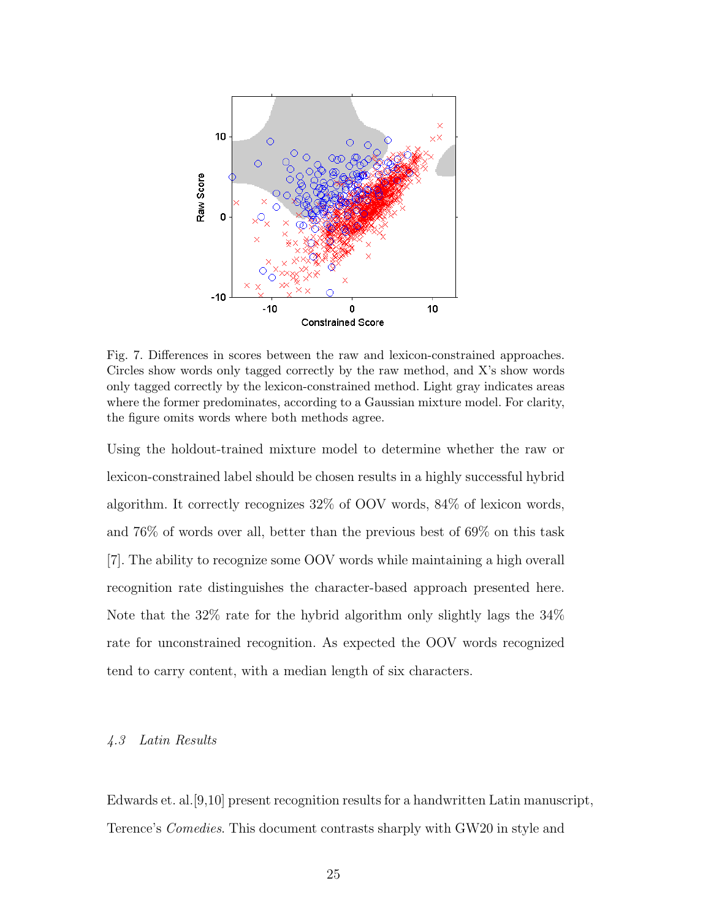

Fig. 7. Differences in scores between the raw and lexicon-constrained approaches. Circles show words only tagged correctly by the raw method, and X's show words only tagged correctly by the lexicon-constrained method. Light gray indicates areas where the former predominates, according to a Gaussian mixture model. For clarity, the figure omits words where both methods agree.

Using the holdout-trained mixture model to determine whether the raw or lexicon-constrained label should be chosen results in a highly successful hybrid algorithm. It correctly recognizes 32% of OOV words, 84% of lexicon words, and 76% of words over all, better than the previous best of 69% on this task [7]. The ability to recognize some OOV words while maintaining a high overall recognition rate distinguishes the character-based approach presented here. Note that the 32% rate for the hybrid algorithm only slightly lags the 34% rate for unconstrained recognition. As expected the OOV words recognized tend to carry content, with a median length of six characters.

# 4.3 Latin Results

Edwards et. al.[9,10] present recognition results for a handwritten Latin manuscript, Terence's Comedies. This document contrasts sharply with GW20 in style and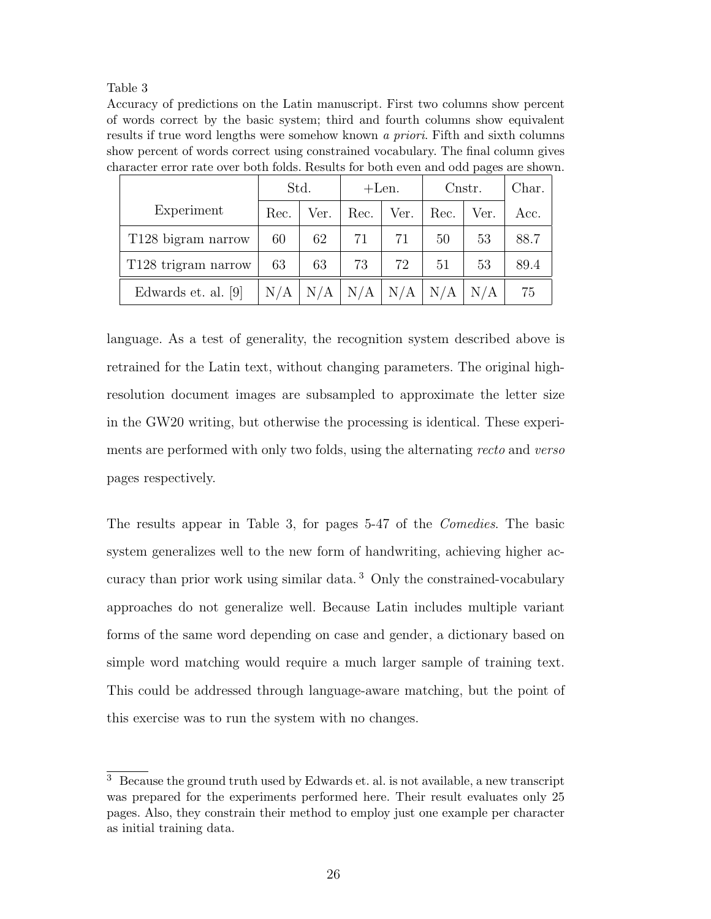# Table 3

Accuracy of predictions on the Latin manuscript. First two columns show percent of words correct by the basic system; third and fourth columns show equivalent results if true word lengths were somehow known a priori. Fifth and sixth columns show percent of words correct using constrained vocabulary. The final column gives character error rate over both folds. Results for both even and odd pages are shown.

|                     | Std. |      | $+Len.$ |      | Cnstr. |      | Char. |
|---------------------|------|------|---------|------|--------|------|-------|
| Experiment          | Rec. | Ver. | Rec.    | Ver. | Rec.   | Ver. | Acc.  |
| T128 bigram narrow  | 60   | 62   | 71      | 71   | 50     | 53   | 88.7  |
| T128 trigram narrow | 63   | 63   | 73      | 72   | 51     | 53   | 89.4  |
| Edwards et. al. [9] | N/A  | N/A  | N/A     | N/A  | N/A    | N/A  | 75    |

language. As a test of generality, the recognition system described above is retrained for the Latin text, without changing parameters. The original highresolution document images are subsampled to approximate the letter size in the GW20 writing, but otherwise the processing is identical. These experiments are performed with only two folds, using the alternating recto and verso pages respectively.

The results appear in Table 3, for pages 5-47 of the Comedies. The basic system generalizes well to the new form of handwriting, achieving higher accuracy than prior work using similar data. <sup>3</sup> Only the constrained-vocabulary approaches do not generalize well. Because Latin includes multiple variant forms of the same word depending on case and gender, a dictionary based on simple word matching would require a much larger sample of training text. This could be addressed through language-aware matching, but the point of this exercise was to run the system with no changes.

<sup>3</sup> Because the ground truth used by Edwards et. al. is not available, a new transcript was prepared for the experiments performed here. Their result evaluates only 25 pages. Also, they constrain their method to employ just one example per character as initial training data.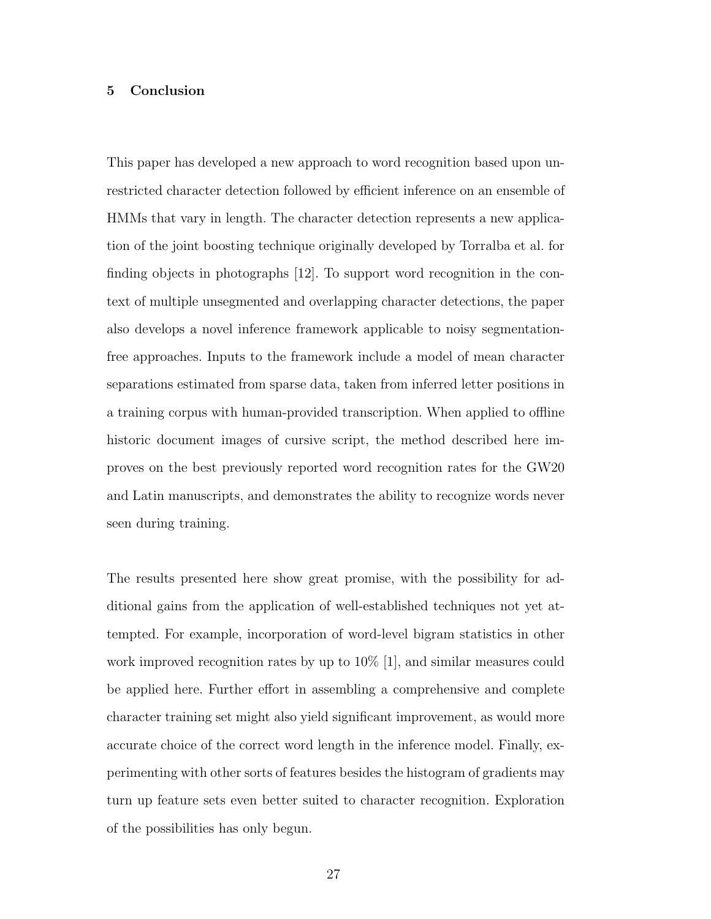# 5 Conclusion

This paper has developed a new approach to word recognition based upon unrestricted character detection followed by efficient inference on an ensemble of HMMs that vary in length. The character detection represents a new application of the joint boosting technique originally developed by Torralba et al. for finding objects in photographs [12]. To support word recognition in the context of multiple unsegmented and overlapping character detections, the paper also develops a novel inference framework applicable to noisy segmentationfree approaches. Inputs to the framework include a model of mean character separations estimated from sparse data, taken from inferred letter positions in a training corpus with human-provided transcription. When applied to offline historic document images of cursive script, the method described here improves on the best previously reported word recognition rates for the GW20 and Latin manuscripts, and demonstrates the ability to recognize words never seen during training.

The results presented here show great promise, with the possibility for additional gains from the application of well-established techniques not yet attempted. For example, incorporation of word-level bigram statistics in other work improved recognition rates by up to 10% [1], and similar measures could be applied here. Further effort in assembling a comprehensive and complete character training set might also yield significant improvement, as would more accurate choice of the correct word length in the inference model. Finally, experimenting with other sorts of features besides the histogram of gradients may turn up feature sets even better suited to character recognition. Exploration of the possibilities has only begun.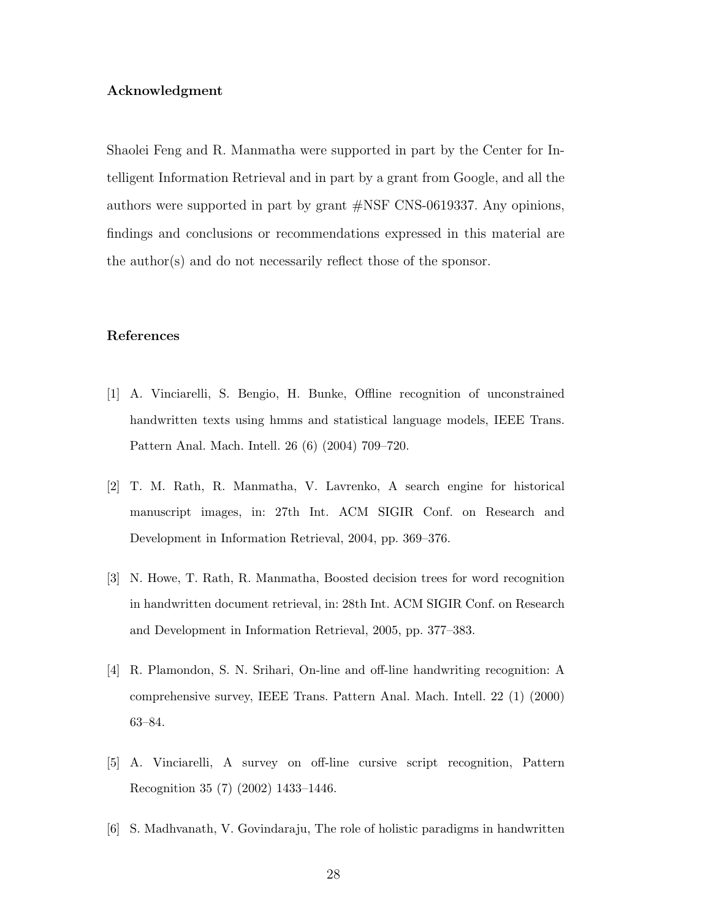# Acknowledgment

Shaolei Feng and R. Manmatha were supported in part by the Center for Intelligent Information Retrieval and in part by a grant from Google, and all the authors were supported in part by grant #NSF CNS-0619337. Any opinions, findings and conclusions or recommendations expressed in this material are the author(s) and do not necessarily reflect those of the sponsor.

# References

- [1] A. Vinciarelli, S. Bengio, H. Bunke, Offline recognition of unconstrained handwritten texts using hmms and statistical language models, IEEE Trans. Pattern Anal. Mach. Intell. 26 (6) (2004) 709–720.
- [2] T. M. Rath, R. Manmatha, V. Lavrenko, A search engine for historical manuscript images, in: 27th Int. ACM SIGIR Conf. on Research and Development in Information Retrieval, 2004, pp. 369–376.
- [3] N. Howe, T. Rath, R. Manmatha, Boosted decision trees for word recognition in handwritten document retrieval, in: 28th Int. ACM SIGIR Conf. on Research and Development in Information Retrieval, 2005, pp. 377–383.
- [4] R. Plamondon, S. N. Srihari, On-line and off-line handwriting recognition: A comprehensive survey, IEEE Trans. Pattern Anal. Mach. Intell. 22 (1) (2000) 63–84.
- [5] A. Vinciarelli, A survey on off-line cursive script recognition, Pattern Recognition 35 (7) (2002) 1433–1446.
- [6] S. Madhvanath, V. Govindaraju, The role of holistic paradigms in handwritten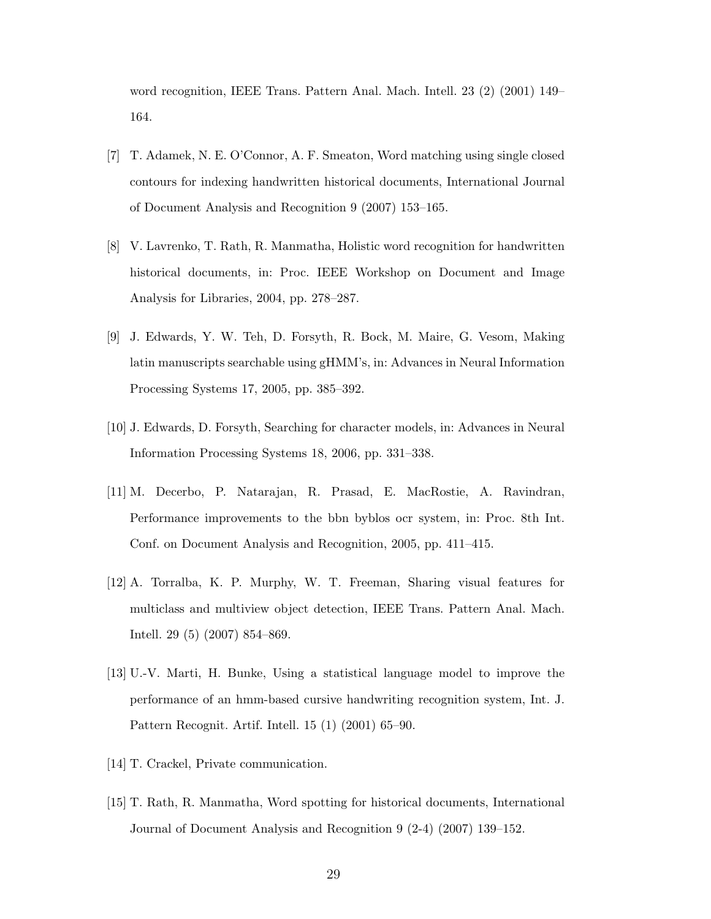word recognition, IEEE Trans. Pattern Anal. Mach. Intell. 23 (2) (2001) 149– 164.

- [7] T. Adamek, N. E. O'Connor, A. F. Smeaton, Word matching using single closed contours for indexing handwritten historical documents, International Journal of Document Analysis and Recognition 9 (2007) 153–165.
- [8] V. Lavrenko, T. Rath, R. Manmatha, Holistic word recognition for handwritten historical documents, in: Proc. IEEE Workshop on Document and Image Analysis for Libraries, 2004, pp. 278–287.
- [9] J. Edwards, Y. W. Teh, D. Forsyth, R. Bock, M. Maire, G. Vesom, Making latin manuscripts searchable using gHMM's, in: Advances in Neural Information Processing Systems 17, 2005, pp. 385–392.
- [10] J. Edwards, D. Forsyth, Searching for character models, in: Advances in Neural Information Processing Systems 18, 2006, pp. 331–338.
- [11] M. Decerbo, P. Natarajan, R. Prasad, E. MacRostie, A. Ravindran, Performance improvements to the bbn byblos ocr system, in: Proc. 8th Int. Conf. on Document Analysis and Recognition, 2005, pp. 411–415.
- [12] A. Torralba, K. P. Murphy, W. T. Freeman, Sharing visual features for multiclass and multiview object detection, IEEE Trans. Pattern Anal. Mach. Intell. 29 (5) (2007) 854–869.
- [13] U.-V. Marti, H. Bunke, Using a statistical language model to improve the performance of an hmm-based cursive handwriting recognition system, Int. J. Pattern Recognit. Artif. Intell. 15 (1) (2001) 65–90.
- [14] T. Crackel, Private communication.
- [15] T. Rath, R. Manmatha, Word spotting for historical documents, International Journal of Document Analysis and Recognition 9 (2-4) (2007) 139–152.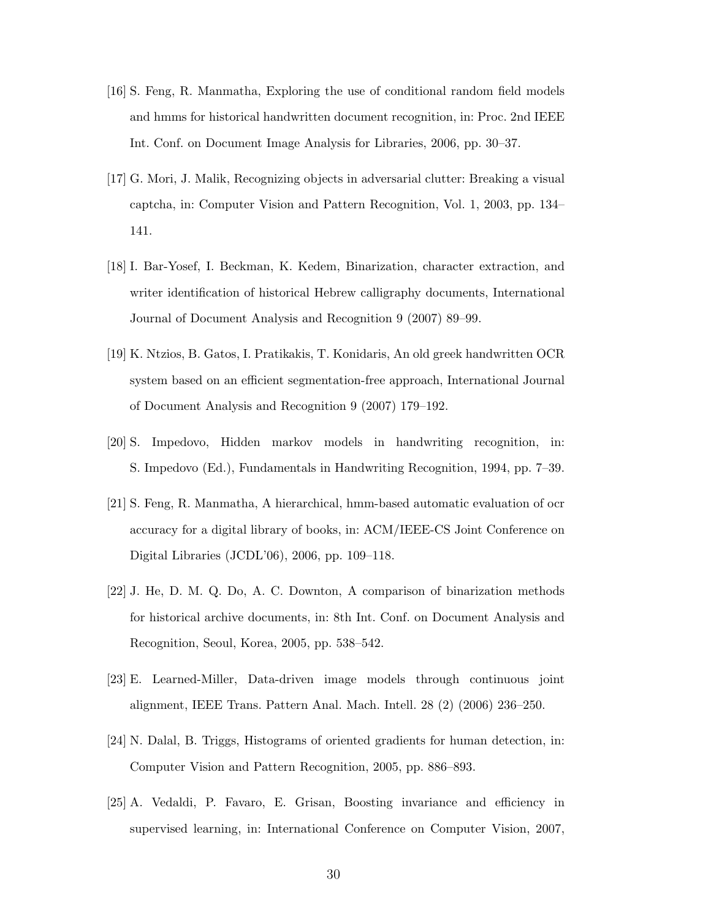- [16] S. Feng, R. Manmatha, Exploring the use of conditional random field models and hmms for historical handwritten document recognition, in: Proc. 2nd IEEE Int. Conf. on Document Image Analysis for Libraries, 2006, pp. 30–37.
- [17] G. Mori, J. Malik, Recognizing objects in adversarial clutter: Breaking a visual captcha, in: Computer Vision and Pattern Recognition, Vol. 1, 2003, pp. 134– 141.
- [18] I. Bar-Yosef, I. Beckman, K. Kedem, Binarization, character extraction, and writer identification of historical Hebrew calligraphy documents, International Journal of Document Analysis and Recognition 9 (2007) 89–99.
- [19] K. Ntzios, B. Gatos, I. Pratikakis, T. Konidaris, An old greek handwritten OCR system based on an efficient segmentation-free approach, International Journal of Document Analysis and Recognition 9 (2007) 179–192.
- [20] S. Impedovo, Hidden markov models in handwriting recognition, in: S. Impedovo (Ed.), Fundamentals in Handwriting Recognition, 1994, pp. 7–39.
- [21] S. Feng, R. Manmatha, A hierarchical, hmm-based automatic evaluation of ocr accuracy for a digital library of books, in: ACM/IEEE-CS Joint Conference on Digital Libraries (JCDL'06), 2006, pp. 109–118.
- [22] J. He, D. M. Q. Do, A. C. Downton, A comparison of binarization methods for historical archive documents, in: 8th Int. Conf. on Document Analysis and Recognition, Seoul, Korea, 2005, pp. 538–542.
- [23] E. Learned-Miller, Data-driven image models through continuous joint alignment, IEEE Trans. Pattern Anal. Mach. Intell. 28 (2) (2006) 236–250.
- [24] N. Dalal, B. Triggs, Histograms of oriented gradients for human detection, in: Computer Vision and Pattern Recognition, 2005, pp. 886–893.
- [25] A. Vedaldi, P. Favaro, E. Grisan, Boosting invariance and efficiency in supervised learning, in: International Conference on Computer Vision, 2007,